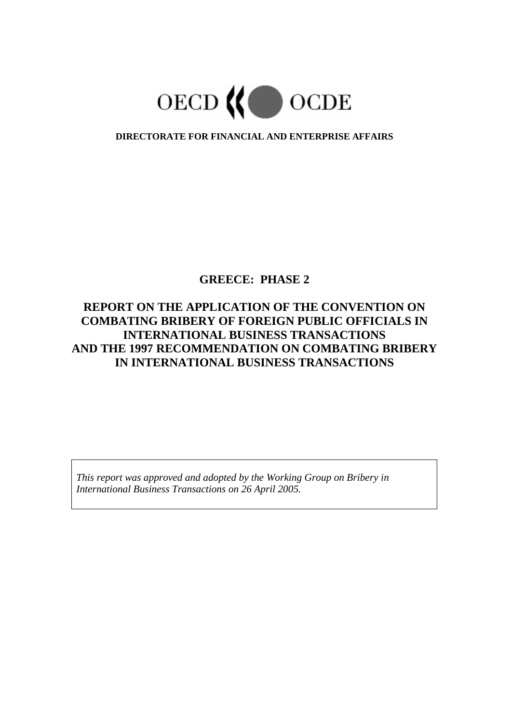

# **DIRECTORATE FOR FINANCIAL AND ENTERPRISE AFFAIRS**

# **GREECE: PHASE 2**

# **REPORT ON THE APPLICATION OF THE CONVENTION ON COMBATING BRIBERY OF FOREIGN PUBLIC OFFICIALS IN INTERNATIONAL BUSINESS TRANSACTIONS AND THE 1997 RECOMMENDATION ON COMBATING BRIBERY IN INTERNATIONAL BUSINESS TRANSACTIONS**

*This report was approved and adopted by the Working Group on Bribery in International Business Transactions on 26 April 2005.*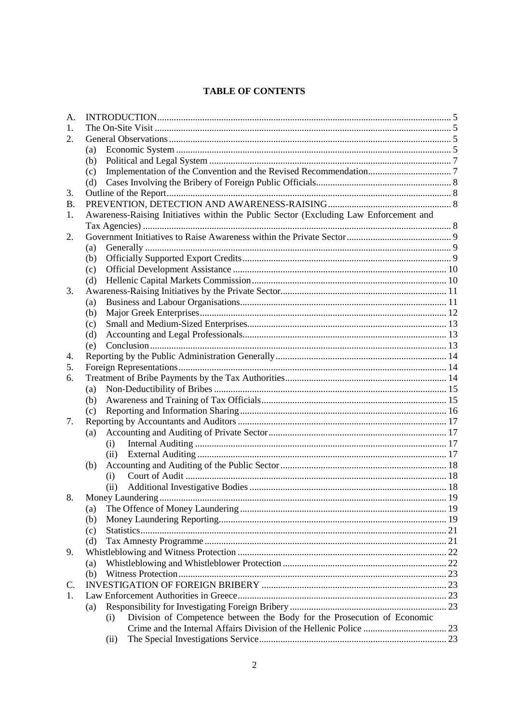# **TABLE OF CONTENTS**

| А.        |     |                                                                                       |  |
|-----------|-----|---------------------------------------------------------------------------------------|--|
| 1.        |     |                                                                                       |  |
| 2.        |     |                                                                                       |  |
|           | (a) |                                                                                       |  |
|           | (b) |                                                                                       |  |
|           | (c) |                                                                                       |  |
|           | (d) |                                                                                       |  |
| 3.        |     |                                                                                       |  |
| <b>B.</b> |     |                                                                                       |  |
| 1.        |     | Awareness-Raising Initiatives within the Public Sector (Excluding Law Enforcement and |  |
|           |     |                                                                                       |  |
| 2.        |     |                                                                                       |  |
|           | (a) |                                                                                       |  |
|           | (b) |                                                                                       |  |
|           | (c) |                                                                                       |  |
|           | (d) |                                                                                       |  |
| 3.        |     |                                                                                       |  |
|           | (a) |                                                                                       |  |
|           | (b) |                                                                                       |  |
|           | (c) |                                                                                       |  |
|           | (d) |                                                                                       |  |
|           | (e) |                                                                                       |  |
| 4.        |     |                                                                                       |  |
| 5.        |     |                                                                                       |  |
| 6.        |     |                                                                                       |  |
|           | (a) |                                                                                       |  |
|           | (b) |                                                                                       |  |
|           | (c) |                                                                                       |  |
| 7.        |     |                                                                                       |  |
|           | (a) | (i)                                                                                   |  |
|           |     | (ii)                                                                                  |  |
|           | (b) |                                                                                       |  |
|           |     | (i)                                                                                   |  |
|           |     | (ii)                                                                                  |  |
| 8.        |     |                                                                                       |  |
|           | (a) |                                                                                       |  |
|           | (b) |                                                                                       |  |
|           | (c) |                                                                                       |  |
|           | (d) |                                                                                       |  |
| 9.        |     |                                                                                       |  |
|           | (a) |                                                                                       |  |
|           | (b) |                                                                                       |  |
| C.        |     |                                                                                       |  |
| 1.        |     |                                                                                       |  |
|           | (a) |                                                                                       |  |
|           |     | Division of Competence between the Body for the Prosecution of Economic<br>(i)        |  |
|           |     |                                                                                       |  |
|           |     | (ii)                                                                                  |  |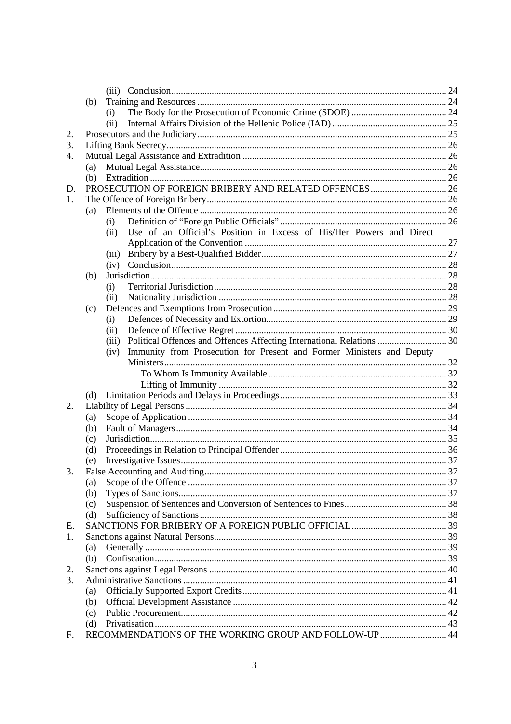|    | (b) |                                                                                |  |
|----|-----|--------------------------------------------------------------------------------|--|
|    |     | (i)                                                                            |  |
|    |     | (ii)                                                                           |  |
| 2. |     |                                                                                |  |
| 3. |     |                                                                                |  |
| 4. |     |                                                                                |  |
|    | (a) |                                                                                |  |
|    |     |                                                                                |  |
| D. |     |                                                                                |  |
| 1. |     |                                                                                |  |
|    | (a) |                                                                                |  |
|    |     | (i)                                                                            |  |
|    |     | Use of an Official's Position in Excess of His/Her Powers and Direct<br>(ii)   |  |
|    |     |                                                                                |  |
|    |     | (iii)                                                                          |  |
|    |     | (iv)                                                                           |  |
|    | (b) |                                                                                |  |
|    |     | (i)                                                                            |  |
|    |     | (ii)                                                                           |  |
|    | (c) |                                                                                |  |
|    |     | (i)                                                                            |  |
|    |     | (ii)                                                                           |  |
|    |     | Political Offences and Offences Affecting International Relations  30<br>(iii) |  |
|    |     | Immunity from Prosecution for Present and Former Ministers and Deputy<br>(iv)  |  |
|    |     |                                                                                |  |
|    |     |                                                                                |  |
|    |     |                                                                                |  |
|    | (d) |                                                                                |  |
| 2. |     |                                                                                |  |
|    | (a) |                                                                                |  |
|    | (b) |                                                                                |  |
|    | (c) |                                                                                |  |
|    | (d) |                                                                                |  |
|    | (e) |                                                                                |  |
|    |     |                                                                                |  |
|    | (a) |                                                                                |  |
|    | (b) |                                                                                |  |
|    | (c) |                                                                                |  |
|    | (d) |                                                                                |  |
| Е. |     |                                                                                |  |
| 1. |     |                                                                                |  |
|    | (a) |                                                                                |  |
|    | (b) |                                                                                |  |
| 2. |     |                                                                                |  |
| 3. |     |                                                                                |  |
|    | (a) |                                                                                |  |
|    | (b) |                                                                                |  |
|    | (c) |                                                                                |  |
| F. | (d) | RECOMMENDATIONS OF THE WORKING GROUP AND FOLLOW-UP 44                          |  |
|    |     |                                                                                |  |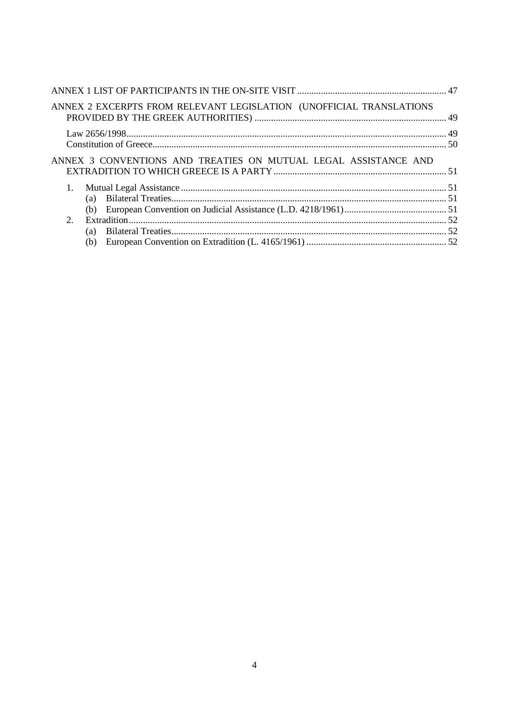|               | ANNEX 2 EXCERPTS FROM RELEVANT LEGISLATION (UNOFFICIAL TRANSLATIONS |  |
|---------------|---------------------------------------------------------------------|--|
|               |                                                                     |  |
|               |                                                                     |  |
|               | ANNEX 3 CONVENTIONS AND TREATIES ON MUTUAL LEGAL ASSISTANCE AND     |  |
| 1.            |                                                                     |  |
|               |                                                                     |  |
|               |                                                                     |  |
| $\mathcal{D}$ |                                                                     |  |
|               | (a)                                                                 |  |
|               | (b)                                                                 |  |
|               |                                                                     |  |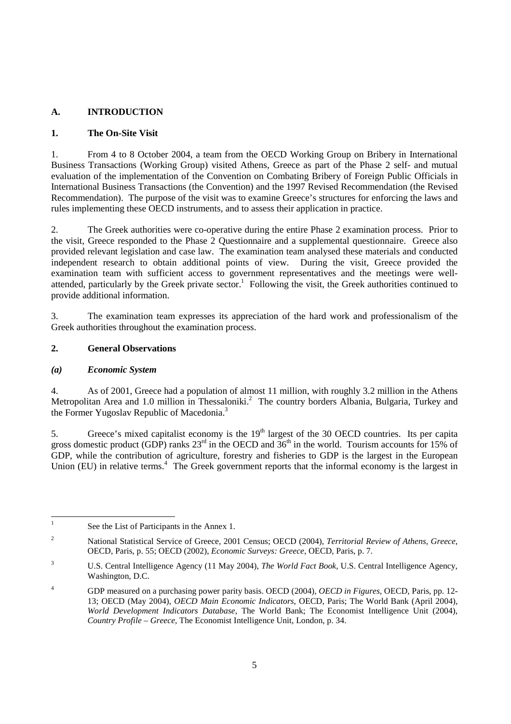# **A. INTRODUCTION**

# **1. The On-Site Visit**

1. From 4 to 8 October 2004, a team from the OECD Working Group on Bribery in International Business Transactions (Working Group) visited Athens, Greece as part of the Phase 2 self- and mutual evaluation of the implementation of the Convention on Combating Bribery of Foreign Public Officials in International Business Transactions (the Convention) and the 1997 Revised Recommendation (the Revised Recommendation). The purpose of the visit was to examine Greece's structures for enforcing the laws and rules implementing these OECD instruments, and to assess their application in practice.

2. The Greek authorities were co-operative during the entire Phase 2 examination process. Prior to the visit, Greece responded to the Phase 2 Questionnaire and a supplemental questionnaire. Greece also provided relevant legislation and case law. The examination team analysed these materials and conducted independent research to obtain additional points of view. During the visit, Greece provided the examination team with sufficient access to government representatives and the meetings were wellattended, particularly by the Greek private sector.<sup>1</sup> Following the visit, the Greek authorities continued to provide additional information.

3. The examination team expresses its appreciation of the hard work and professionalism of the Greek authorities throughout the examination process.

# **2. General Observations**

# *(a) Economic System*

4. As of 2001, Greece had a population of almost 11 million, with roughly 3.2 million in the Athens Metropolitan Area and 1.0 million in Thessaloniki.<sup>2</sup> The country borders Albania, Bulgaria, Turkey and the Former Yugoslav Republic of Macedonia.<sup>3</sup>

5. Greece's mixed capitalist economy is the 19<sup>th</sup> largest of the 30 OECD countries. Its per capita gross domestic product (GDP) ranks  $23<sup>rd</sup>$  in the OECD and  $36<sup>th</sup>$  in the world. Tourism accounts for 15% of GDP, while the contribution of agriculture, forestry and fisheries to GDP is the largest in the European Union (EU) in relative terms.<sup>4</sup> The Greek government reports that the informal economy is the largest in

<sup>|&</sup>lt;br>|<br>| See the List of Participants in the Annex 1.

<sup>2</sup> National Statistical Service of Greece, 2001 Census; OECD (2004), *Territorial Review of Athens, Greece*, OECD, Paris, p. 55; OECD (2002), *Economic Surveys: Greece*, OECD, Paris, p. 7.

 $\overline{\mathbf{3}}$  U.S. Central Intelligence Agency (11 May 2004), *The World Fact Book*, U.S. Central Intelligence Agency, Washington, D.C.

<sup>4</sup> GDP measured on a purchasing power parity basis. OECD (2004), *OECD in Figures*, OECD, Paris, pp. 12- 13; OECD (May 2004), *OECD Main Economic Indicators*, OECD, Paris; The World Bank (April 2004), *World Development Indicators Database*, The World Bank; The Economist Intelligence Unit (2004), *Country Profile – Greece*, The Economist Intelligence Unit, London, p. 34.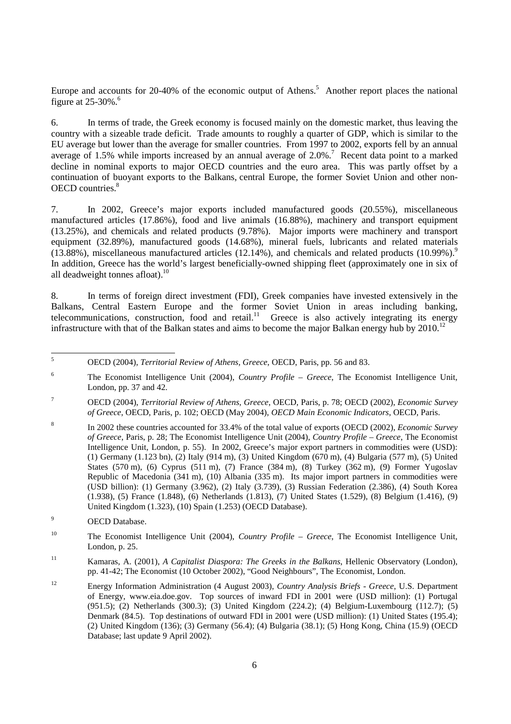Europe and accounts for 20-40% of the economic output of Athens.<sup>5</sup> Another report places the national figure at  $25-30\%$ .<sup>6</sup>

6. In terms of trade, the Greek economy is focused mainly on the domestic market, thus leaving the country with a sizeable trade deficit. Trade amounts to roughly a quarter of GDP, which is similar to the EU average but lower than the average for smaller countries. From 1997 to 2002, exports fell by an annual average of 1.5% while imports increased by an annual average of  $2.0\%$ .<sup>7</sup> Recent data point to a marked decline in nominal exports to major OECD countries and the euro area. This was partly offset by a continuation of buoyant exports to the Balkans, central Europe, the former Soviet Union and other non-OECD countries.<sup>8</sup>

7. In 2002, Greece's major exports included manufactured goods (20.55%), miscellaneous manufactured articles (17.86%), food and live animals (16.88%), machinery and transport equipment (13.25%), and chemicals and related products (9.78%). Major imports were machinery and transport equipment (32.89%), manufactured goods (14.68%), mineral fuels, lubricants and related materials  $(13.88\%)$ , miscellaneous manufactured articles (12.14%), and chemicals and related products (10.99%).<sup>9</sup> In addition, Greece has the world's largest beneficially-owned shipping fleet (approximately one in six of all deadweight tonnes afloat). $^{10}$ 

8. In terms of foreign direct investment (FDI), Greek companies have invested extensively in the Balkans, Central Eastern Europe and the former Soviet Union in areas including banking, telecommunications, construction, food and retail.<sup>11</sup> Greece is also actively integrating its energy infrastructure with that of the Balkan states and aims to become the major Balkan energy hub by  $2010^{12}$ 

9 OECD Database.

 5 OECD (2004), *Territorial Review of Athens, Greece*, OECD, Paris, pp. 56 and 83.

<sup>6</sup> The Economist Intelligence Unit (2004), *Country Profile – Greece*, The Economist Intelligence Unit, London, pp. 37 and 42.

<sup>7</sup> OECD (2004), *Territorial Review of Athens, Greece*, OECD, Paris, p. 78; OECD (2002), *Economic Survey of Greece*, OECD, Paris, p. 102; OECD (May 2004), *OECD Main Economic Indicators*, OECD, Paris.

<sup>8</sup> In 2002 these countries accounted for 33.4% of the total value of exports (OECD (2002), *Economic Survey of Greece*, Paris, p. 28; The Economist Intelligence Unit (2004), *Country Profile – Greece*, The Economist Intelligence Unit, London, p. 55). In 2002, Greece's major export partners in commodities were (USD): (1) Germany (1.123 bn), (2) Italy (914 m), (3) United Kingdom (670 m), (4) Bulgaria (577 m), (5) United States (570 m), (6) Cyprus (511 m), (7) France (384 m), (8) Turkey (362 m), (9) Former Yugoslav Republic of Macedonia (341 m), (10) Albania (335 m). Its major import partners in commodities were (USD billion): (1) Germany (3.962), (2) Italy (3.739), (3) Russian Federation (2.386), (4) South Korea (1.938), (5) France (1.848), (6) Netherlands (1.813), (7) United States (1.529), (8) Belgium (1.416), (9) United Kingdom (1.323), (10) Spain (1.253) (OECD Database).

<sup>10</sup> The Economist Intelligence Unit (2004), *Country Profile – Greece*, The Economist Intelligence Unit, London, p. 25.

<sup>11</sup> Kamaras, A. (2001), *A Capitalist Diaspora: The Greeks in the Balkans*, Hellenic Observatory (London), pp. 41-42; The Economist (10 October 2002), "Good Neighbours", The Economist, London.

<sup>12</sup> Energy Information Administration (4 August 2003), *Country Analysis Briefs - Greece*, U.S. Department of Energy, www.eia.doe.gov. Top sources of inward FDI in 2001 were (USD million): (1) Portugal (951.5); (2) Netherlands (300.3); (3) United Kingdom (224.2); (4) Belgium-Luxembourg (112.7); (5) Denmark (84.5). Top destinations of outward FDI in 2001 were (USD million): (1) United States (195.4); (2) United Kingdom (136); (3) Germany (56.4); (4) Bulgaria (38.1); (5) Hong Kong, China (15.9) (OECD Database; last update 9 April 2002).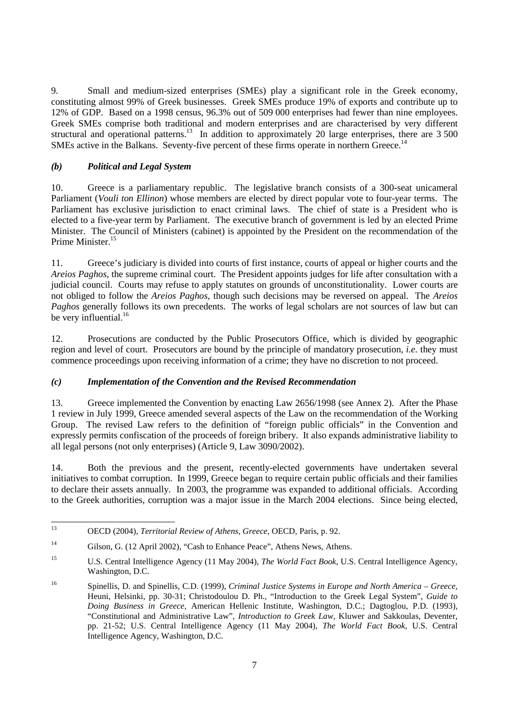9. Small and medium-sized enterprises (SMEs) play a significant role in the Greek economy, constituting almost 99% of Greek businesses. Greek SMEs produce 19% of exports and contribute up to 12% of GDP. Based on a 1998 census, 96.3% out of 509 000 enterprises had fewer than nine employees. Greek SMEs comprise both traditional and modern enterprises and are characterised by very different structural and operational patterns.<sup>13</sup> In addition to approximately 20 large enterprises, there are 3 500 SMEs active in the Balkans. Seventy-five percent of these firms operate in northern Greece.<sup>14</sup>

# *(b) Political and Legal System*

10. Greece is a parliamentary republic. The legislative branch consists of a 300-seat unicameral Parliament (*Vouli ton Ellinon*) whose members are elected by direct popular vote to four-year terms. The Parliament has exclusive jurisdiction to enact criminal laws. The chief of state is a President who is elected to a five-year term by Parliament. The executive branch of government is led by an elected Prime Minister. The Council of Ministers (cabinet) is appointed by the President on the recommendation of the Prime Minister<sup>15</sup>

11. Greece's judiciary is divided into courts of first instance, courts of appeal or higher courts and the *Areios Paghos*, the supreme criminal court. The President appoints judges for life after consultation with a judicial council. Courts may refuse to apply statutes on grounds of unconstitutionality. Lower courts are not obliged to follow the *Areios Paghos*, though such decisions may be reversed on appeal. The *Areios Paghos* generally follows its own precedents. The works of legal scholars are not sources of law but can be very influential. $16$ 

12. Prosecutions are conducted by the Public Prosecutors Office, which is divided by geographic region and level of court. Prosecutors are bound by the principle of mandatory prosecution, *i.e.* they must commence proceedings upon receiving information of a crime; they have no discretion to not proceed.

# *(c) Implementation of the Convention and the Revised Recommendation*

13. Greece implemented the Convention by enacting Law 2656/1998 (see Annex 2). After the Phase 1 review in July 1999, Greece amended several aspects of the Law on the recommendation of the Working Group. The revised Law refers to the definition of "foreign public officials" in the Convention and expressly permits confiscation of the proceeds of foreign bribery. It also expands administrative liability to all legal persons (not only enterprises) (Article 9, Law 3090/2002).

14. Both the previous and the present, recently-elected governments have undertaken several initiatives to combat corruption. In 1999, Greece began to require certain public officials and their families to declare their assets annually. In 2003, the programme was expanded to additional officials. According to the Greek authorities, corruption was a major issue in the March 2004 elections. Since being elected,

<sup>13</sup> 13 OECD (2004), *Territorial Review of Athens, Greece*, OECD, Paris, p. 92.

<sup>&</sup>lt;sup>14</sup> Gilson, G. (12 April 2002), "Cash to Enhance Peace", Athens News, Athens.

<sup>15</sup> U.S. Central Intelligence Agency (11 May 2004), *The World Fact Book*, U.S. Central Intelligence Agency, Washington, D.C.

<sup>16</sup> Spinellis, D. and Spinellis, C.D. (1999), *Criminal Justice Systems in Europe and North America – Greece*, Heuni, Helsinki, pp. 30-31; Christodoulou D. Ph., "Introduction to the Greek Legal System", *Guide to Doing Business in Greece*, American Hellenic Institute, Washington, D.C.; Dagtoglou, P.D. (1993), "Constitutional and Administrative Law", *Introduction to Greek Law*, Kluwer and Sakkoulas, Deventer, pp. 21-52; U.S. Central Intelligence Agency (11 May 2004), *The World Fact Book*, U.S. Central Intelligence Agency, Washington, D.C.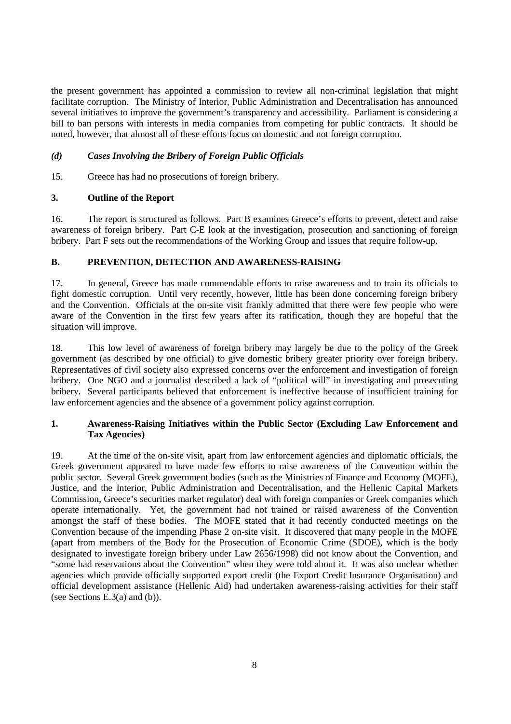the present government has appointed a commission to review all non-criminal legislation that might facilitate corruption. The Ministry of Interior, Public Administration and Decentralisation has announced several initiatives to improve the government's transparency and accessibility. Parliament is considering a bill to ban persons with interests in media companies from competing for public contracts. It should be noted, however, that almost all of these efforts focus on domestic and not foreign corruption.

# *(d) Cases Involving the Bribery of Foreign Public Officials*

15. Greece has had no prosecutions of foreign bribery.

## **3. Outline of the Report**

16. The report is structured as follows. Part B examines Greece's efforts to prevent, detect and raise awareness of foreign bribery. Part C-E look at the investigation, prosecution and sanctioning of foreign bribery. Part F sets out the recommendations of the Working Group and issues that require follow-up.

## **B. PREVENTION, DETECTION AND AWARENESS-RAISING**

17. In general, Greece has made commendable efforts to raise awareness and to train its officials to fight domestic corruption. Until very recently, however, little has been done concerning foreign bribery and the Convention. Officials at the on-site visit frankly admitted that there were few people who were aware of the Convention in the first few years after its ratification, though they are hopeful that the situation will improve.

18. This low level of awareness of foreign bribery may largely be due to the policy of the Greek government (as described by one official) to give domestic bribery greater priority over foreign bribery. Representatives of civil society also expressed concerns over the enforcement and investigation of foreign bribery. One NGO and a journalist described a lack of "political will" in investigating and prosecuting bribery. Several participants believed that enforcement is ineffective because of insufficient training for law enforcement agencies and the absence of a government policy against corruption.

## **1. Awareness-Raising Initiatives within the Public Sector (Excluding Law Enforcement and Tax Agencies)**

19. At the time of the on-site visit, apart from law enforcement agencies and diplomatic officials, the Greek government appeared to have made few efforts to raise awareness of the Convention within the public sector. Several Greek government bodies (such as the Ministries of Finance and Economy (MOFE), Justice, and the Interior, Public Administration and Decentralisation, and the Hellenic Capital Markets Commission, Greece's securities market regulator) deal with foreign companies or Greek companies which operate internationally. Yet, the government had not trained or raised awareness of the Convention amongst the staff of these bodies. The MOFE stated that it had recently conducted meetings on the Convention because of the impending Phase 2 on-site visit. It discovered that many people in the MOFE (apart from members of the Body for the Prosecution of Economic Crime (SDOE), which is the body designated to investigate foreign bribery under Law 2656/1998) did not know about the Convention, and "some had reservations about the Convention" when they were told about it. It was also unclear whether agencies which provide officially supported export credit (the Export Credit Insurance Organisation) and official development assistance (Hellenic Aid) had undertaken awareness-raising activities for their staff (see Sections E.3(a) and (b)).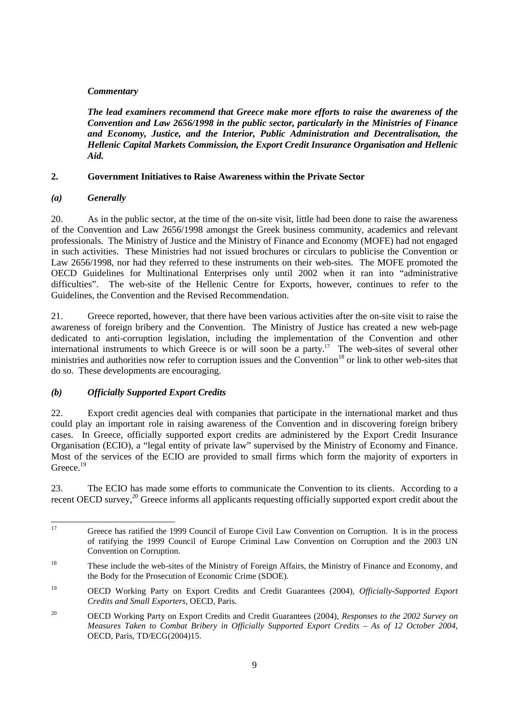## *Commentary*

*The lead examiners recommend that Greece make more efforts to raise the awareness of the Convention and Law 2656/1998 in the public sector, particularly in the Ministries of Finance and Economy, Justice, and the Interior, Public Administration and Decentralisation, the Hellenic Capital Markets Commission, the Export Credit Insurance Organisation and Hellenic Aid.* 

## **2. Government Initiatives to Raise Awareness within the Private Sector**

## *(a) Generally*

20. As in the public sector, at the time of the on-site visit, little had been done to raise the awareness of the Convention and Law 2656/1998 amongst the Greek business community, academics and relevant professionals. The Ministry of Justice and the Ministry of Finance and Economy (MOFE) had not engaged in such activities. These Ministries had not issued brochures or circulars to publicise the Convention or Law 2656/1998, nor had they referred to these instruments on their web-sites. The MOFE promoted the OECD Guidelines for Multinational Enterprises only until 2002 when it ran into "administrative difficulties". The web-site of the Hellenic Centre for Exports, however, continues to refer to the Guidelines, the Convention and the Revised Recommendation.

21. Greece reported, however, that there have been various activities after the on-site visit to raise the awareness of foreign bribery and the Convention. The Ministry of Justice has created a new web-page dedicated to anti-corruption legislation, including the implementation of the Convention and other international instruments to which Greece is or will soon be a party.<sup>17</sup> The web-sites of several other ministries and authorities now refer to corruption issues and the Convention<sup>18</sup> or link to other web-sites that do so. These developments are encouraging.

# *(b) Officially Supported Export Credits*

22. Export credit agencies deal with companies that participate in the international market and thus could play an important role in raising awareness of the Convention and in discovering foreign bribery cases. In Greece, officially supported export credits are administered by the Export Credit Insurance Organisation (ECIO), a "legal entity of private law" supervised by the Ministry of Economy and Finance. Most of the services of the ECIO are provided to small firms which form the majority of exporters in Greece<sup>19</sup>

23. The ECIO has made some efforts to communicate the Convention to its clients. According to a recent OECD survey,<sup>20</sup> Greece informs all applicants requesting officially supported export credit about the

<sup>17</sup> Greece has ratified the 1999 Council of Europe Civil Law Convention on Corruption. It is in the process of ratifying the 1999 Council of Europe Criminal Law Convention on Corruption and the 2003 UN Convention on Corruption.

<sup>&</sup>lt;sup>18</sup> These include the web-sites of the Ministry of Foreign Affairs, the Ministry of Finance and Economy, and the Body for the Prosecution of Economic Crime (SDOE).

<sup>19</sup> OECD Working Party on Export Credits and Credit Guarantees (2004), *Officially-Supported Export Credits and Small Exporters*, OECD, Paris.

<sup>20</sup> OECD Working Party on Export Credits and Credit Guarantees (2004), *Responses to the 2002 Survey on Measures Taken to Combat Bribery in Officially Supported Export Credits – As of 12 October 2004*, OECD, Paris, TD/ECG(2004)15.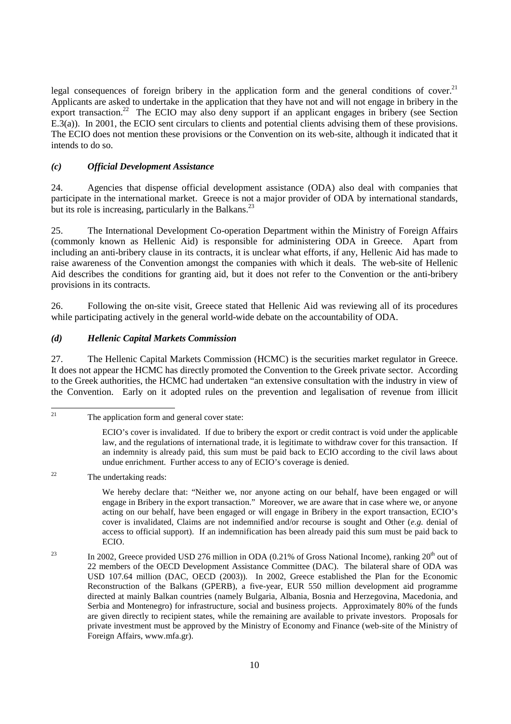legal consequences of foreign bribery in the application form and the general conditions of cover.<sup>21</sup> Applicants are asked to undertake in the application that they have not and will not engage in bribery in the export transaction.<sup>22</sup> The ECIO may also deny support if an applicant engages in bribery (see Section E.3(a)). In 2001, the ECIO sent circulars to clients and potential clients advising them of these provisions. The ECIO does not mention these provisions or the Convention on its web-site, although it indicated that it intends to do so.

# *(c) Official Development Assistance*

24. Agencies that dispense official development assistance (ODA) also deal with companies that participate in the international market. Greece is not a major provider of ODA by international standards, but its role is increasing, particularly in the Balkans. $^{23}$ 

25. The International Development Co-operation Department within the Ministry of Foreign Affairs (commonly known as Hellenic Aid) is responsible for administering ODA in Greece. Apart from including an anti-bribery clause in its contracts, it is unclear what efforts, if any, Hellenic Aid has made to raise awareness of the Convention amongst the companies with which it deals. The web-site of Hellenic Aid describes the conditions for granting aid, but it does not refer to the Convention or the anti-bribery provisions in its contracts.

26. Following the on-site visit, Greece stated that Hellenic Aid was reviewing all of its procedures while participating actively in the general world-wide debate on the accountability of ODA.

## *(d) Hellenic Capital Markets Commission*

27. The Hellenic Capital Markets Commission (HCMC) is the securities market regulator in Greece. It does not appear the HCMC has directly promoted the Convention to the Greek private sector. According to the Greek authorities, the HCMC had undertaken "an extensive consultation with the industry in view of the Convention. Early on it adopted rules on the prevention and legalisation of revenue from illicit

 $21$ 

The application form and general cover state:

ECIO's cover is invalidated. If due to bribery the export or credit contract is void under the applicable law, and the regulations of international trade, it is legitimate to withdraw cover for this transaction. If an indemnity is already paid, this sum must be paid back to ECIO according to the civil laws about undue enrichment. Further access to any of ECIO's coverage is denied.

<sup>22</sup> The undertaking reads:

We hereby declare that: "Neither we, nor anyone acting on our behalf, have been engaged or will engage in Bribery in the export transaction." Moreover, we are aware that in case where we, or anyone acting on our behalf, have been engaged or will engage in Bribery in the export transaction, ECIO's cover is invalidated, Claims are not indemnified and/or recourse is sought and Other (*e.g.* denial of access to official support). If an indemnification has been already paid this sum must be paid back to ECIO.

<sup>&</sup>lt;sup>23</sup> In 2002, Greece provided USD 276 million in ODA (0.21% of Gross National Income), ranking  $20<sup>th</sup>$  out of 22 members of the OECD Development Assistance Committee (DAC). The bilateral share of ODA was USD 107.64 million (DAC, OECD (2003)). In 2002, Greece established the Plan for the Economic Reconstruction of the Balkans (GPERB), a five-year, EUR 550 million development aid programme directed at mainly Balkan countries (namely Bulgaria, Albania, Bosnia and Herzegovina, Macedonia, and Serbia and Montenegro) for infrastructure, social and business projects. Approximately 80% of the funds are given directly to recipient states, while the remaining are available to private investors. Proposals for private investment must be approved by the Ministry of Economy and Finance (web-site of the Ministry of Foreign Affairs, www.mfa.gr).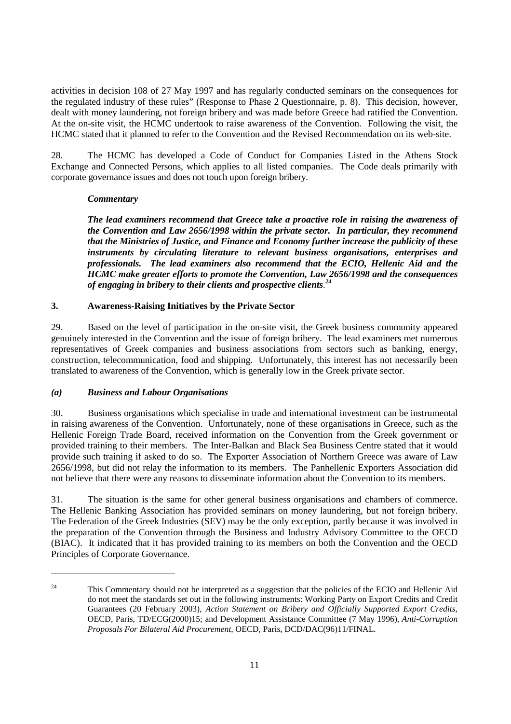activities in decision 108 of 27 May 1997 and has regularly conducted seminars on the consequences for the regulated industry of these rules" (Response to Phase 2 Questionnaire, p. 8). This decision, however, dealt with money laundering, not foreign bribery and was made before Greece had ratified the Convention. At the on-site visit, the HCMC undertook to raise awareness of the Convention. Following the visit, the HCMC stated that it planned to refer to the Convention and the Revised Recommendation on its web-site.

28. The HCMC has developed a Code of Conduct for Companies Listed in the Athens Stock Exchange and Connected Persons, which applies to all listed companies. The Code deals primarily with corporate governance issues and does not touch upon foreign bribery.

#### *Commentary*

*The lead examiners recommend that Greece take a proactive role in raising the awareness of the Convention and Law 2656/1998 within the private sector. In particular, they recommend that the Ministries of Justice, and Finance and Economy further increase the publicity of these instruments by circulating literature to relevant business organisations, enterprises and professionals. The lead examiners also recommend that the ECIO, Hellenic Aid and the HCMC make greater efforts to promote the Convention, Law 2656/1998 and the consequences of engaging in bribery to their clients and prospective clients. 24*

## **3. Awareness-Raising Initiatives by the Private Sector**

29. Based on the level of participation in the on-site visit, the Greek business community appeared genuinely interested in the Convention and the issue of foreign bribery. The lead examiners met numerous representatives of Greek companies and business associations from sectors such as banking, energy, construction, telecommunication, food and shipping. Unfortunately, this interest has not necessarily been translated to awareness of the Convention, which is generally low in the Greek private sector.

#### *(a) Business and Labour Organisations*

 $\overline{a}$ 

30. Business organisations which specialise in trade and international investment can be instrumental in raising awareness of the Convention. Unfortunately, none of these organisations in Greece, such as the Hellenic Foreign Trade Board, received information on the Convention from the Greek government or provided training to their members. The Inter-Balkan and Black Sea Business Centre stated that it would provide such training if asked to do so. The Exporter Association of Northern Greece was aware of Law 2656/1998, but did not relay the information to its members. The Panhellenic Exporters Association did not believe that there were any reasons to disseminate information about the Convention to its members.

31. The situation is the same for other general business organisations and chambers of commerce. The Hellenic Banking Association has provided seminars on money laundering, but not foreign bribery. The Federation of the Greek Industries (SEV) may be the only exception, partly because it was involved in the preparation of the Convention through the Business and Industry Advisory Committee to the OECD (BIAC). It indicated that it has provided training to its members on both the Convention and the OECD Principles of Corporate Governance.

<sup>&</sup>lt;sup>24</sup> This Commentary should not be interpreted as a suggestion that the policies of the ECIO and Hellenic Aid do not meet the standards set out in the following instruments: Working Party on Export Credits and Credit Guarantees (20 February 2003), *Action Statement on Bribery and Officially Supported Export Credits*, OECD, Paris, TD/ECG(2000)15; and Development Assistance Committee (7 May 1996), *Anti-Corruption Proposals For Bilateral Aid Procurement*, OECD, Paris, DCD/DAC(96)11/FINAL.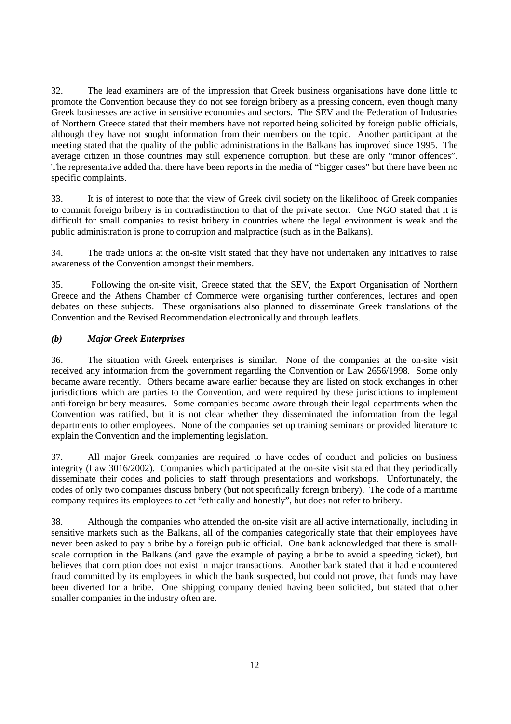32. The lead examiners are of the impression that Greek business organisations have done little to promote the Convention because they do not see foreign bribery as a pressing concern, even though many Greek businesses are active in sensitive economies and sectors. The SEV and the Federation of Industries of Northern Greece stated that their members have not reported being solicited by foreign public officials, although they have not sought information from their members on the topic. Another participant at the meeting stated that the quality of the public administrations in the Balkans has improved since 1995. The average citizen in those countries may still experience corruption, but these are only "minor offences". The representative added that there have been reports in the media of "bigger cases" but there have been no specific complaints.

33. It is of interest to note that the view of Greek civil society on the likelihood of Greek companies to commit foreign bribery is in contradistinction to that of the private sector. One NGO stated that it is difficult for small companies to resist bribery in countries where the legal environment is weak and the public administration is prone to corruption and malpractice (such as in the Balkans).

34. The trade unions at the on-site visit stated that they have not undertaken any initiatives to raise awareness of the Convention amongst their members.

35. Following the on-site visit, Greece stated that the SEV, the Export Organisation of Northern Greece and the Athens Chamber of Commerce were organising further conferences, lectures and open debates on these subjects. These organisations also planned to disseminate Greek translations of the Convention and the Revised Recommendation electronically and through leaflets.

## *(b) Major Greek Enterprises*

36. The situation with Greek enterprises is similar. None of the companies at the on-site visit received any information from the government regarding the Convention or Law 2656/1998. Some only became aware recently. Others became aware earlier because they are listed on stock exchanges in other jurisdictions which are parties to the Convention, and were required by these jurisdictions to implement anti-foreign bribery measures. Some companies became aware through their legal departments when the Convention was ratified, but it is not clear whether they disseminated the information from the legal departments to other employees. None of the companies set up training seminars or provided literature to explain the Convention and the implementing legislation.

37. All major Greek companies are required to have codes of conduct and policies on business integrity (Law 3016/2002). Companies which participated at the on-site visit stated that they periodically disseminate their codes and policies to staff through presentations and workshops. Unfortunately, the codes of only two companies discuss bribery (but not specifically foreign bribery). The code of a maritime company requires its employees to act "ethically and honestly", but does not refer to bribery.

38. Although the companies who attended the on-site visit are all active internationally, including in sensitive markets such as the Balkans, all of the companies categorically state that their employees have never been asked to pay a bribe by a foreign public official. One bank acknowledged that there is smallscale corruption in the Balkans (and gave the example of paying a bribe to avoid a speeding ticket), but believes that corruption does not exist in major transactions. Another bank stated that it had encountered fraud committed by its employees in which the bank suspected, but could not prove, that funds may have been diverted for a bribe. One shipping company denied having been solicited, but stated that other smaller companies in the industry often are.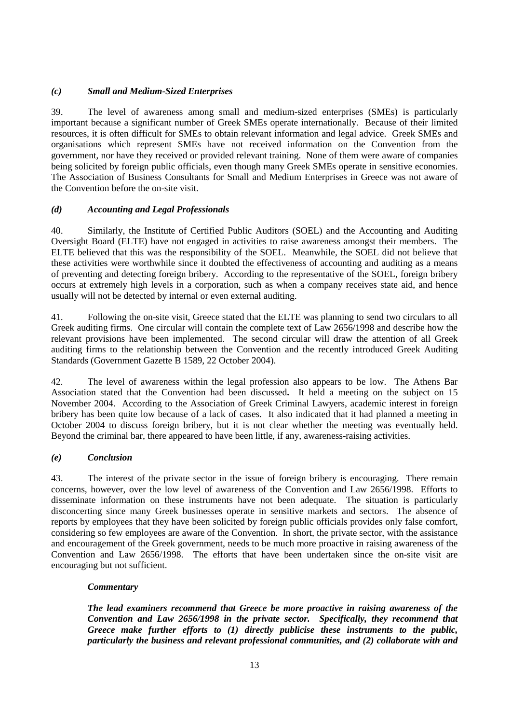# *(c) Small and Medium-Sized Enterprises*

39. The level of awareness among small and medium-sized enterprises (SMEs) is particularly important because a significant number of Greek SMEs operate internationally. Because of their limited resources, it is often difficult for SMEs to obtain relevant information and legal advice. Greek SMEs and organisations which represent SMEs have not received information on the Convention from the government, nor have they received or provided relevant training. None of them were aware of companies being solicited by foreign public officials, even though many Greek SMEs operate in sensitive economies. The Association of Business Consultants for Small and Medium Enterprises in Greece was not aware of the Convention before the on-site visit.

#### *(d) Accounting and Legal Professionals*

40. Similarly, the Institute of Certified Public Auditors (SOEL) and the Accounting and Auditing Oversight Board (ELTE) have not engaged in activities to raise awareness amongst their members. The ELTE believed that this was the responsibility of the SOEL. Meanwhile, the SOEL did not believe that these activities were worthwhile since it doubted the effectiveness of accounting and auditing as a means of preventing and detecting foreign bribery. According to the representative of the SOEL, foreign bribery occurs at extremely high levels in a corporation, such as when a company receives state aid, and hence usually will not be detected by internal or even external auditing.

41. Following the on-site visit, Greece stated that the ELTE was planning to send two circulars to all Greek auditing firms. One circular will contain the complete text of Law 2656/1998 and describe how the relevant provisions have been implemented. The second circular will draw the attention of all Greek auditing firms to the relationship between the Convention and the recently introduced Greek Auditing Standards (Government Gazette B 1589, 22 October 2004).

42. The level of awareness within the legal profession also appears to be low. The Athens Bar Association stated that the Convention had been discussed**.** It held a meeting on the subject on 15 November 2004. According to the Association of Greek Criminal Lawyers, academic interest in foreign bribery has been quite low because of a lack of cases. It also indicated that it had planned a meeting in October 2004 to discuss foreign bribery, but it is not clear whether the meeting was eventually held. Beyond the criminal bar, there appeared to have been little, if any, awareness-raising activities.

#### *(e) Conclusion*

43. The interest of the private sector in the issue of foreign bribery is encouraging. There remain concerns, however, over the low level of awareness of the Convention and Law 2656/1998. Efforts to disseminate information on these instruments have not been adequate. The situation is particularly disconcerting since many Greek businesses operate in sensitive markets and sectors. The absence of reports by employees that they have been solicited by foreign public officials provides only false comfort, considering so few employees are aware of the Convention. In short, the private sector, with the assistance and encouragement of the Greek government, needs to be much more proactive in raising awareness of the Convention and Law 2656/1998. The efforts that have been undertaken since the on-site visit are encouraging but not sufficient.

#### *Commentary*

*The lead examiners recommend that Greece be more proactive in raising awareness of the Convention and Law 2656/1998 in the private sector. Specifically, they recommend that Greece make further efforts to (1) directly publicise these instruments to the public, particularly the business and relevant professional communities, and (2) collaborate with and*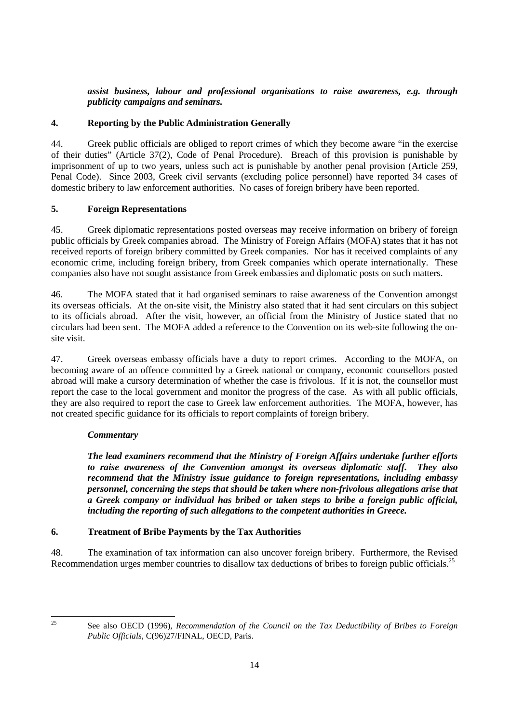# *assist business, labour and professional organisations to raise awareness, e.g. through publicity campaigns and seminars.*

# **4. Reporting by the Public Administration Generally**

44. Greek public officials are obliged to report crimes of which they become aware "in the exercise of their duties" (Article 37(2), Code of Penal Procedure). Breach of this provision is punishable by imprisonment of up to two years, unless such act is punishable by another penal provision (Article 259, Penal Code). Since 2003, Greek civil servants (excluding police personnel) have reported 34 cases of domestic bribery to law enforcement authorities. No cases of foreign bribery have been reported.

# **5. Foreign Representations**

45. Greek diplomatic representations posted overseas may receive information on bribery of foreign public officials by Greek companies abroad. The Ministry of Foreign Affairs (MOFA) states that it has not received reports of foreign bribery committed by Greek companies. Nor has it received complaints of any economic crime, including foreign bribery, from Greek companies which operate internationally. These companies also have not sought assistance from Greek embassies and diplomatic posts on such matters.

46. The MOFA stated that it had organised seminars to raise awareness of the Convention amongst its overseas officials. At the on-site visit, the Ministry also stated that it had sent circulars on this subject to its officials abroad. After the visit, however, an official from the Ministry of Justice stated that no circulars had been sent. The MOFA added a reference to the Convention on its web-site following the onsite visit.

47. Greek overseas embassy officials have a duty to report crimes. According to the MOFA, on becoming aware of an offence committed by a Greek national or company, economic counsellors posted abroad will make a cursory determination of whether the case is frivolous. If it is not, the counsellor must report the case to the local government and monitor the progress of the case. As with all public officials, they are also required to report the case to Greek law enforcement authorities. The MOFA, however, has not created specific guidance for its officials to report complaints of foreign bribery.

# *Commentary*

*The lead examiners recommend that the Ministry of Foreign Affairs undertake further efforts to raise awareness of the Convention amongst its overseas diplomatic staff. They also recommend that the Ministry issue guidance to foreign representations, including embassy personnel, concerning the steps that should be taken where non-frivolous allegations arise that a Greek company or individual has bribed or taken steps to bribe a foreign public official, including the reporting of such allegations to the competent authorities in Greece.* 

# **6. Treatment of Bribe Payments by the Tax Authorities**

48. The examination of tax information can also uncover foreign bribery. Furthermore, the Revised Recommendation urges member countries to disallow tax deductions of bribes to foreign public officials.<sup>25</sup>

 $25$ 

<sup>25</sup> See also OECD (1996), *Recommendation of the Council on the Tax Deductibility of Bribes to Foreign Public Officials*, C(96)27/FINAL, OECD, Paris.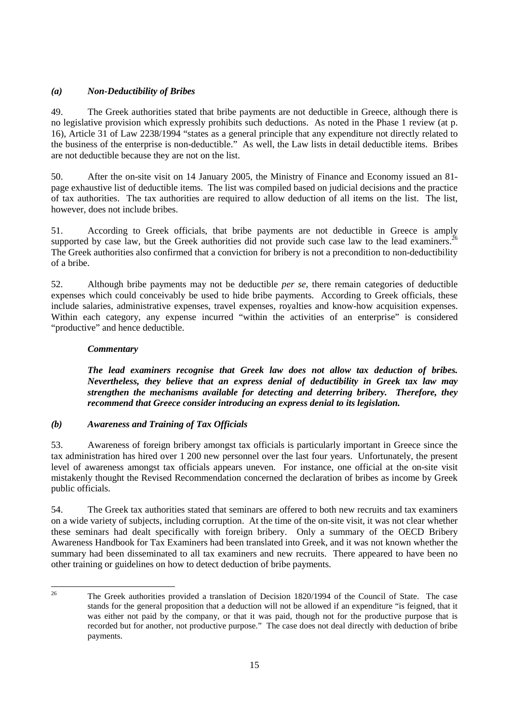# *(a) Non-Deductibility of Bribes*

49. The Greek authorities stated that bribe payments are not deductible in Greece, although there is no legislative provision which expressly prohibits such deductions. As noted in the Phase 1 review (at p. 16), Article 31 of Law 2238/1994 "states as a general principle that any expenditure not directly related to the business of the enterprise is non-deductible." As well, the Law lists in detail deductible items. Bribes are not deductible because they are not on the list.

50. After the on-site visit on 14 January 2005, the Ministry of Finance and Economy issued an 81 page exhaustive list of deductible items. The list was compiled based on judicial decisions and the practice of tax authorities. The tax authorities are required to allow deduction of all items on the list. The list, however, does not include bribes.

51. According to Greek officials, that bribe payments are not deductible in Greece is amply supported by case law, but the Greek authorities did not provide such case law to the lead examiners.<sup>2</sup> The Greek authorities also confirmed that a conviction for bribery is not a precondition to non-deductibility of a bribe.

52. Although bribe payments may not be deductible *per se*, there remain categories of deductible expenses which could conceivably be used to hide bribe payments. According to Greek officials, these include salaries, administrative expenses, travel expenses, royalties and know-how acquisition expenses. Within each category, any expense incurred "within the activities of an enterprise" is considered "productive" and hence deductible.

## *Commentary*

*The lead examiners recognise that Greek law does not allow tax deduction of bribes. Nevertheless, they believe that an express denial of deductibility in Greek tax law may strengthen the mechanisms available for detecting and deterring bribery. Therefore, they recommend that Greece consider introducing an express denial to its legislation.* 

#### *(b) Awareness and Training of Tax Officials*

53. Awareness of foreign bribery amongst tax officials is particularly important in Greece since the tax administration has hired over 1 200 new personnel over the last four years. Unfortunately, the present level of awareness amongst tax officials appears uneven. For instance, one official at the on-site visit mistakenly thought the Revised Recommendation concerned the declaration of bribes as income by Greek public officials.

54. The Greek tax authorities stated that seminars are offered to both new recruits and tax examiners on a wide variety of subjects, including corruption. At the time of the on-site visit, it was not clear whether these seminars had dealt specifically with foreign bribery. Only a summary of the OECD Bribery Awareness Handbook for Tax Examiners had been translated into Greek, and it was not known whether the summary had been disseminated to all tax examiners and new recruits. There appeared to have been no other training or guidelines on how to detect deduction of bribe payments.

 $26$ 26 The Greek authorities provided a translation of Decision 1820/1994 of the Council of State. The case stands for the general proposition that a deduction will not be allowed if an expenditure "is feigned, that it was either not paid by the company, or that it was paid, though not for the productive purpose that is recorded but for another, not productive purpose." The case does not deal directly with deduction of bribe payments.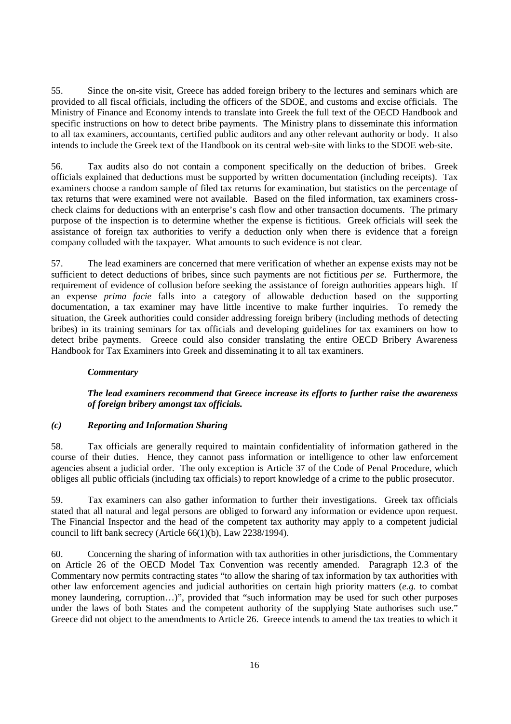55. Since the on-site visit, Greece has added foreign bribery to the lectures and seminars which are provided to all fiscal officials, including the officers of the SDOE, and customs and excise officials. The Ministry of Finance and Economy intends to translate into Greek the full text of the OECD Handbook and specific instructions on how to detect bribe payments. The Ministry plans to disseminate this information to all tax examiners, accountants, certified public auditors and any other relevant authority or body. It also intends to include the Greek text of the Handbook on its central web-site with links to the SDOE web-site.

56. Tax audits also do not contain a component specifically on the deduction of bribes. Greek officials explained that deductions must be supported by written documentation (including receipts). Tax examiners choose a random sample of filed tax returns for examination, but statistics on the percentage of tax returns that were examined were not available. Based on the filed information, tax examiners crosscheck claims for deductions with an enterprise's cash flow and other transaction documents. The primary purpose of the inspection is to determine whether the expense is fictitious. Greek officials will seek the assistance of foreign tax authorities to verify a deduction only when there is evidence that a foreign company colluded with the taxpayer. What amounts to such evidence is not clear.

57. The lead examiners are concerned that mere verification of whether an expense exists may not be sufficient to detect deductions of bribes, since such payments are not fictitious *per se*. Furthermore, the requirement of evidence of collusion before seeking the assistance of foreign authorities appears high. If an expense *prima facie* falls into a category of allowable deduction based on the supporting documentation, a tax examiner may have little incentive to make further inquiries. To remedy the situation, the Greek authorities could consider addressing foreign bribery (including methods of detecting bribes) in its training seminars for tax officials and developing guidelines for tax examiners on how to detect bribe payments. Greece could also consider translating the entire OECD Bribery Awareness Handbook for Tax Examiners into Greek and disseminating it to all tax examiners.

#### *Commentary*

#### *The lead examiners recommend that Greece increase its efforts to further raise the awareness of foreign bribery amongst tax officials.*

#### *(c) Reporting and Information Sharing*

58. Tax officials are generally required to maintain confidentiality of information gathered in the course of their duties. Hence, they cannot pass information or intelligence to other law enforcement agencies absent a judicial order. The only exception is Article 37 of the Code of Penal Procedure, which obliges all public officials (including tax officials) to report knowledge of a crime to the public prosecutor.

59. Tax examiners can also gather information to further their investigations. Greek tax officials stated that all natural and legal persons are obliged to forward any information or evidence upon request. The Financial Inspector and the head of the competent tax authority may apply to a competent judicial council to lift bank secrecy (Article 66(1)(b), Law 2238/1994).

60. Concerning the sharing of information with tax authorities in other jurisdictions, the Commentary on Article 26 of the OECD Model Tax Convention was recently amended. Paragraph 12.3 of the Commentary now permits contracting states "to allow the sharing of tax information by tax authorities with other law enforcement agencies and judicial authorities on certain high priority matters (*e.g.* to combat money laundering, corruption…)", provided that "such information may be used for such other purposes under the laws of both States and the competent authority of the supplying State authorises such use." Greece did not object to the amendments to Article 26. Greece intends to amend the tax treaties to which it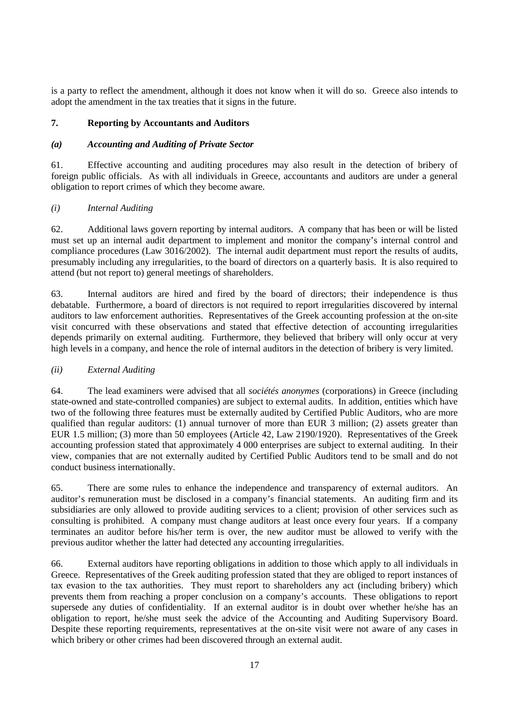is a party to reflect the amendment, although it does not know when it will do so. Greece also intends to adopt the amendment in the tax treaties that it signs in the future.

## **7. Reporting by Accountants and Auditors**

## *(a) Accounting and Auditing of Private Sector*

61. Effective accounting and auditing procedures may also result in the detection of bribery of foreign public officials. As with all individuals in Greece, accountants and auditors are under a general obligation to report crimes of which they become aware.

## *(i) Internal Auditing*

62. Additional laws govern reporting by internal auditors. A company that has been or will be listed must set up an internal audit department to implement and monitor the company's internal control and compliance procedures (Law 3016/2002). The internal audit department must report the results of audits, presumably including any irregularities, to the board of directors on a quarterly basis. It is also required to attend (but not report to) general meetings of shareholders.

63. Internal auditors are hired and fired by the board of directors; their independence is thus debatable. Furthermore, a board of directors is not required to report irregularities discovered by internal auditors to law enforcement authorities. Representatives of the Greek accounting profession at the on-site visit concurred with these observations and stated that effective detection of accounting irregularities depends primarily on external auditing. Furthermore, they believed that bribery will only occur at very high levels in a company, and hence the role of internal auditors in the detection of bribery is very limited.

#### *(ii) External Auditing*

64. The lead examiners were advised that all *sociétés anonymes* (corporations) in Greece (including state-owned and state-controlled companies) are subject to external audits. In addition, entities which have two of the following three features must be externally audited by Certified Public Auditors, who are more qualified than regular auditors: (1) annual turnover of more than EUR 3 million; (2) assets greater than EUR 1.5 million; (3) more than 50 employees (Article 42, Law 2190/1920). Representatives of the Greek accounting profession stated that approximately 4 000 enterprises are subject to external auditing. In their view, companies that are not externally audited by Certified Public Auditors tend to be small and do not conduct business internationally.

65. There are some rules to enhance the independence and transparency of external auditors. An auditor's remuneration must be disclosed in a company's financial statements. An auditing firm and its subsidiaries are only allowed to provide auditing services to a client; provision of other services such as consulting is prohibited. A company must change auditors at least once every four years. If a company terminates an auditor before his/her term is over, the new auditor must be allowed to verify with the previous auditor whether the latter had detected any accounting irregularities.

66. External auditors have reporting obligations in addition to those which apply to all individuals in Greece. Representatives of the Greek auditing profession stated that they are obliged to report instances of tax evasion to the tax authorities. They must report to shareholders any act (including bribery) which prevents them from reaching a proper conclusion on a company's accounts. These obligations to report supersede any duties of confidentiality. If an external auditor is in doubt over whether he/she has an obligation to report, he/she must seek the advice of the Accounting and Auditing Supervisory Board. Despite these reporting requirements, representatives at the on-site visit were not aware of any cases in which bribery or other crimes had been discovered through an external audit.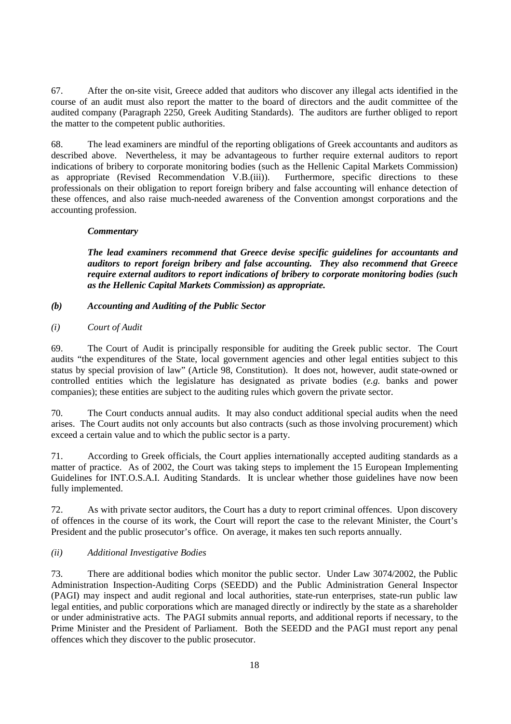67. After the on-site visit, Greece added that auditors who discover any illegal acts identified in the course of an audit must also report the matter to the board of directors and the audit committee of the audited company (Paragraph 2250, Greek Auditing Standards). The auditors are further obliged to report the matter to the competent public authorities.

68. The lead examiners are mindful of the reporting obligations of Greek accountants and auditors as described above. Nevertheless, it may be advantageous to further require external auditors to report indications of bribery to corporate monitoring bodies (such as the Hellenic Capital Markets Commission) as appropriate (Revised Recommendation V.B.(iii)). Furthermore, specific directions to these professionals on their obligation to report foreign bribery and false accounting will enhance detection of these offences, and also raise much-needed awareness of the Convention amongst corporations and the accounting profession.

#### *Commentary*

*The lead examiners recommend that Greece devise specific guidelines for accountants and auditors to report foreign bribery and false accounting. They also recommend that Greece require external auditors to report indications of bribery to corporate monitoring bodies (such as the Hellenic Capital Markets Commission) as appropriate.* 

#### *(b) Accounting and Auditing of the Public Sector*

#### *(i) Court of Audit*

69. The Court of Audit is principally responsible for auditing the Greek public sector. The Court audits "the expenditures of the State, local government agencies and other legal entities subject to this status by special provision of law" (Article 98, Constitution). It does not, however, audit state-owned or controlled entities which the legislature has designated as private bodies (*e.g.* banks and power companies); these entities are subject to the auditing rules which govern the private sector.

70. The Court conducts annual audits. It may also conduct additional special audits when the need arises. The Court audits not only accounts but also contracts (such as those involving procurement) which exceed a certain value and to which the public sector is a party.

71. According to Greek officials, the Court applies internationally accepted auditing standards as a matter of practice. As of 2002, the Court was taking steps to implement the 15 European Implementing Guidelines for INT.O.S.A.I. Auditing Standards. It is unclear whether those guidelines have now been fully implemented.

72. As with private sector auditors, the Court has a duty to report criminal offences. Upon discovery of offences in the course of its work, the Court will report the case to the relevant Minister, the Court's President and the public prosecutor's office. On average, it makes ten such reports annually.

#### *(ii) Additional Investigative Bodies*

73. There are additional bodies which monitor the public sector. Under Law 3074/2002, the Public Administration Inspection-Auditing Corps (SEEDD) and the Public Administration General Inspector (PAGI) may inspect and audit regional and local authorities, state-run enterprises, state-run public law legal entities, and public corporations which are managed directly or indirectly by the state as a shareholder or under administrative acts. The PAGI submits annual reports, and additional reports if necessary, to the Prime Minister and the President of Parliament. Both the SEEDD and the PAGI must report any penal offences which they discover to the public prosecutor.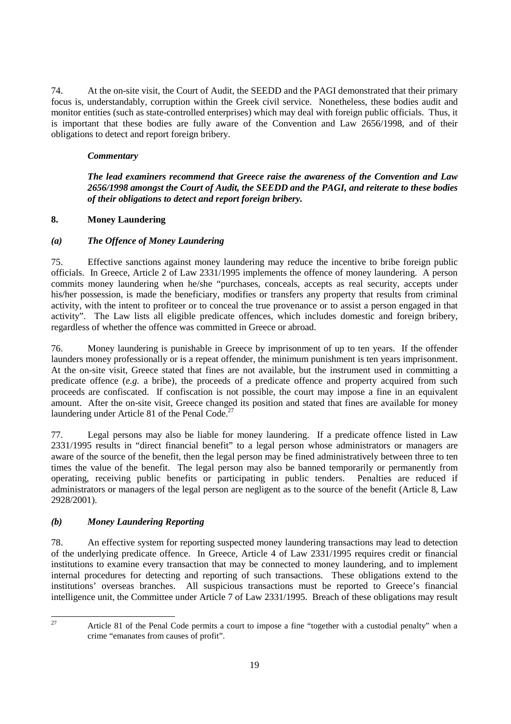74. At the on-site visit, the Court of Audit, the SEEDD and the PAGI demonstrated that their primary focus is, understandably, corruption within the Greek civil service. Nonetheless, these bodies audit and monitor entities (such as state-controlled enterprises) which may deal with foreign public officials. Thus, it is important that these bodies are fully aware of the Convention and Law 2656/1998, and of their obligations to detect and report foreign bribery.

# *Commentary*

*The lead examiners recommend that Greece raise the awareness of the Convention and Law 2656/1998 amongst the Court of Audit, the SEEDD and the PAGI, and reiterate to these bodies of their obligations to detect and report foreign bribery.* 

## **8. Money Laundering**

# *(a) The Offence of Money Laundering*

75. Effective sanctions against money laundering may reduce the incentive to bribe foreign public officials. In Greece, Article 2 of Law 2331/1995 implements the offence of money laundering. A person commits money laundering when he/she "purchases, conceals, accepts as real security, accepts under his/her possession, is made the beneficiary, modifies or transfers any property that results from criminal activity, with the intent to profiteer or to conceal the true provenance or to assist a person engaged in that activity". The Law lists all eligible predicate offences, which includes domestic and foreign bribery, regardless of whether the offence was committed in Greece or abroad.

76. Money laundering is punishable in Greece by imprisonment of up to ten years. If the offender launders money professionally or is a repeat offender, the minimum punishment is ten years imprisonment. At the on-site visit, Greece stated that fines are not available, but the instrument used in committing a predicate offence (*e.g.* a bribe), the proceeds of a predicate offence and property acquired from such proceeds are confiscated. If confiscation is not possible, the court may impose a fine in an equivalent amount. After the on-site visit, Greece changed its position and stated that fines are available for money laundering under Article 81 of the Penal Code.<sup>27</sup>

77. Legal persons may also be liable for money laundering. If a predicate offence listed in Law 2331/1995 results in "direct financial benefit" to a legal person whose administrators or managers are aware of the source of the benefit, then the legal person may be fined administratively between three to ten times the value of the benefit. The legal person may also be banned temporarily or permanently from operating, receiving public benefits or participating in public tenders. Penalties are reduced if administrators or managers of the legal person are negligent as to the source of the benefit (Article 8, Law 2928/2001).

# *(b) Money Laundering Reporting*

78. An effective system for reporting suspected money laundering transactions may lead to detection of the underlying predicate offence. In Greece, Article 4 of Law 2331/1995 requires credit or financial institutions to examine every transaction that may be connected to money laundering, and to implement internal procedures for detecting and reporting of such transactions. These obligations extend to the institutions' overseas branches. All suspicious transactions must be reported to Greece's financial intelligence unit, the Committee under Article 7 of Law 2331/1995. Breach of these obligations may result

27

Article 81 of the Penal Code permits a court to impose a fine "together with a custodial penalty" when a crime "emanates from causes of profit".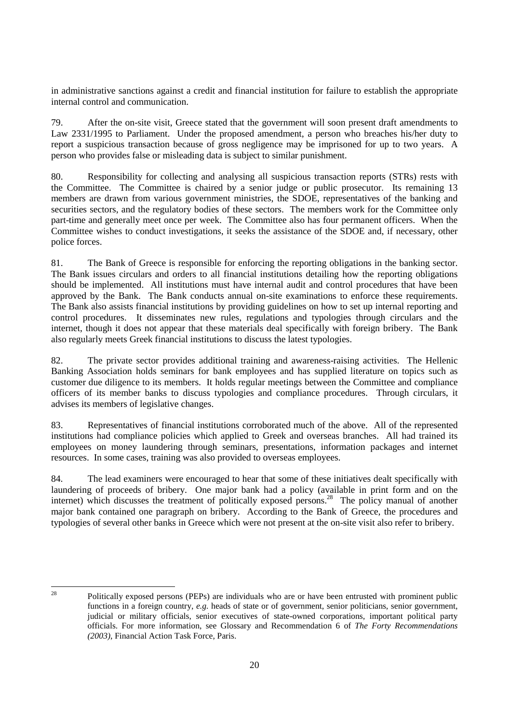in administrative sanctions against a credit and financial institution for failure to establish the appropriate internal control and communication.

79. After the on-site visit, Greece stated that the government will soon present draft amendments to Law 2331/1995 to Parliament. Under the proposed amendment, a person who breaches his/her duty to report a suspicious transaction because of gross negligence may be imprisoned for up to two years. A person who provides false or misleading data is subject to similar punishment.

80. Responsibility for collecting and analysing all suspicious transaction reports (STRs) rests with the Committee. The Committee is chaired by a senior judge or public prosecutor. Its remaining 13 members are drawn from various government ministries, the SDOE, representatives of the banking and securities sectors, and the regulatory bodies of these sectors. The members work for the Committee only part-time and generally meet once per week. The Committee also has four permanent officers. When the Committee wishes to conduct investigations, it seeks the assistance of the SDOE and, if necessary, other police forces.

81. The Bank of Greece is responsible for enforcing the reporting obligations in the banking sector. The Bank issues circulars and orders to all financial institutions detailing how the reporting obligations should be implemented. All institutions must have internal audit and control procedures that have been approved by the Bank. The Bank conducts annual on-site examinations to enforce these requirements. The Bank also assists financial institutions by providing guidelines on how to set up internal reporting and control procedures. It disseminates new rules, regulations and typologies through circulars and the internet, though it does not appear that these materials deal specifically with foreign bribery. The Bank also regularly meets Greek financial institutions to discuss the latest typologies.

82. The private sector provides additional training and awareness-raising activities. The Hellenic Banking Association holds seminars for bank employees and has supplied literature on topics such as customer due diligence to its members. It holds regular meetings between the Committee and compliance officers of its member banks to discuss typologies and compliance procedures. Through circulars, it advises its members of legislative changes.

83. Representatives of financial institutions corroborated much of the above. All of the represented institutions had compliance policies which applied to Greek and overseas branches. All had trained its employees on money laundering through seminars, presentations, information packages and internet resources. In some cases, training was also provided to overseas employees.

84. The lead examiners were encouraged to hear that some of these initiatives dealt specifically with laundering of proceeds of bribery. One major bank had a policy (available in print form and on the internet) which discusses the treatment of politically exposed persons.<sup>28</sup> The policy manual of another major bank contained one paragraph on bribery. According to the Bank of Greece, the procedures and typologies of several other banks in Greece which were not present at the on-site visit also refer to bribery.

 $28$ 

<sup>28</sup> Politically exposed persons (PEPs) are individuals who are or have been entrusted with prominent public functions in a foreign country, *e.g.* heads of state or of government, senior politicians, senior government, judicial or military officials, senior executives of state-owned corporations, important political party officials. For more information, see Glossary and Recommendation 6 of *The Forty Recommendations (2003)*, Financial Action Task Force, Paris.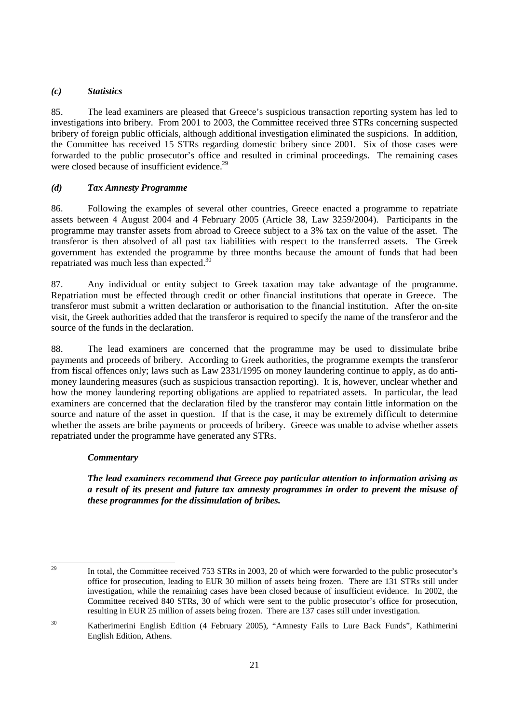## *(c) Statistics*

85. The lead examiners are pleased that Greece's suspicious transaction reporting system has led to investigations into bribery. From 2001 to 2003, the Committee received three STRs concerning suspected bribery of foreign public officials, although additional investigation eliminated the suspicions. In addition, the Committee has received 15 STRs regarding domestic bribery since 2001. Six of those cases were forwarded to the public prosecutor's office and resulted in criminal proceedings. The remaining cases were closed because of insufficient evidence.<sup>29</sup>

## *(d) Tax Amnesty Programme*

86. Following the examples of several other countries, Greece enacted a programme to repatriate assets between 4 August 2004 and 4 February 2005 (Article 38, Law 3259/2004). Participants in the programme may transfer assets from abroad to Greece subject to a 3% tax on the value of the asset. The transferor is then absolved of all past tax liabilities with respect to the transferred assets. The Greek government has extended the programme by three months because the amount of funds that had been repatriated was much less than expected.<sup>30</sup>

87. Any individual or entity subject to Greek taxation may take advantage of the programme. Repatriation must be effected through credit or other financial institutions that operate in Greece. The transferor must submit a written declaration or authorisation to the financial institution. After the on-site visit, the Greek authorities added that the transferor is required to specify the name of the transferor and the source of the funds in the declaration.

88. The lead examiners are concerned that the programme may be used to dissimulate bribe payments and proceeds of bribery. According to Greek authorities, the programme exempts the transferor from fiscal offences only; laws such as Law 2331/1995 on money laundering continue to apply, as do antimoney laundering measures (such as suspicious transaction reporting). It is, however, unclear whether and how the money laundering reporting obligations are applied to repatriated assets. In particular, the lead examiners are concerned that the declaration filed by the transferor may contain little information on the source and nature of the asset in question. If that is the case, it may be extremely difficult to determine whether the assets are bribe payments or proceeds of bribery. Greece was unable to advise whether assets repatriated under the programme have generated any STRs.

#### *Commentary*

*The lead examiners recommend that Greece pay particular attention to information arising as a result of its present and future tax amnesty programmes in order to prevent the misuse of these programmes for the dissimulation of bribes.* 

 $\overline{29}$ 

<sup>29</sup> In total, the Committee received 753 STRs in 2003, 20 of which were forwarded to the public prosecutor's office for prosecution, leading to EUR 30 million of assets being frozen. There are 131 STRs still under investigation, while the remaining cases have been closed because of insufficient evidence. In 2002, the Committee received 840 STRs, 30 of which were sent to the public prosecutor's office for prosecution, resulting in EUR 25 million of assets being frozen. There are 137 cases still under investigation.

<sup>30</sup> Katherimerini English Edition (4 February 2005), "Amnesty Fails to Lure Back Funds", Kathimerini English Edition, Athens.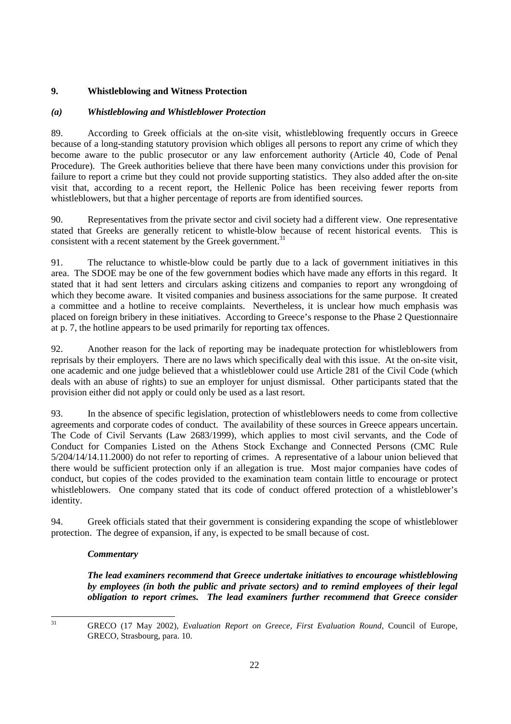# **9. Whistleblowing and Witness Protection**

## *(a) Whistleblowing and Whistleblower Protection*

89. According to Greek officials at the on-site visit, whistleblowing frequently occurs in Greece because of a long-standing statutory provision which obliges all persons to report any crime of which they become aware to the public prosecutor or any law enforcement authority (Article 40, Code of Penal Procedure). The Greek authorities believe that there have been many convictions under this provision for failure to report a crime but they could not provide supporting statistics. They also added after the on-site visit that, according to a recent report, the Hellenic Police has been receiving fewer reports from whistleblowers, but that a higher percentage of reports are from identified sources.

90. Representatives from the private sector and civil society had a different view. One representative stated that Greeks are generally reticent to whistle-blow because of recent historical events. This is consistent with a recent statement by the Greek government.<sup>31</sup>

91. The reluctance to whistle-blow could be partly due to a lack of government initiatives in this area. The SDOE may be one of the few government bodies which have made any efforts in this regard. It stated that it had sent letters and circulars asking citizens and companies to report any wrongdoing of which they become aware. It visited companies and business associations for the same purpose. It created a committee and a hotline to receive complaints. Nevertheless, it is unclear how much emphasis was placed on foreign bribery in these initiatives. According to Greece's response to the Phase 2 Questionnaire at p. 7, the hotline appears to be used primarily for reporting tax offences.

92. Another reason for the lack of reporting may be inadequate protection for whistleblowers from reprisals by their employers. There are no laws which specifically deal with this issue. At the on-site visit, one academic and one judge believed that a whistleblower could use Article 281 of the Civil Code (which deals with an abuse of rights) to sue an employer for unjust dismissal. Other participants stated that the provision either did not apply or could only be used as a last resort.

93. In the absence of specific legislation, protection of whistleblowers needs to come from collective agreements and corporate codes of conduct. The availability of these sources in Greece appears uncertain. The Code of Civil Servants (Law 2683/1999), which applies to most civil servants, and the Code of Conduct for Companies Listed on the Athens Stock Exchange and Connected Persons (CMC Rule 5/204/14/14.11.2000) do not refer to reporting of crimes. A representative of a labour union believed that there would be sufficient protection only if an allegation is true. Most major companies have codes of conduct, but copies of the codes provided to the examination team contain little to encourage or protect whistleblowers. One company stated that its code of conduct offered protection of a whistleblower's identity.

94. Greek officials stated that their government is considering expanding the scope of whistleblower protection. The degree of expansion, if any, is expected to be small because of cost.

#### *Commentary*

*The lead examiners recommend that Greece undertake initiatives to encourage whistleblowing by employees (in both the public and private sectors) and to remind employees of their legal obligation to report crimes. The lead examiners further recommend that Greece consider* 

 $31$ 

<sup>31</sup> GRECO (17 May 2002), *Evaluation Report on Greece, First Evaluation Round*, Council of Europe, GRECO, Strasbourg, para. 10.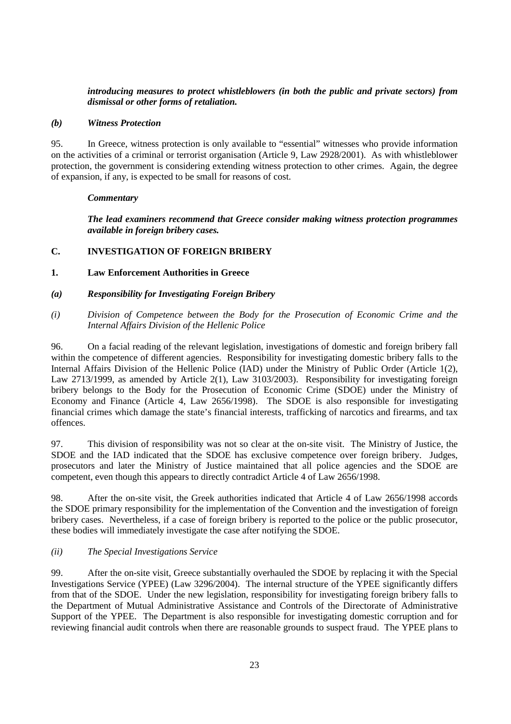## *introducing measures to protect whistleblowers (in both the public and private sectors) from dismissal or other forms of retaliation.*

#### *(b) Witness Protection*

95. In Greece, witness protection is only available to "essential" witnesses who provide information on the activities of a criminal or terrorist organisation (Article 9, Law 2928/2001). As with whistleblower protection, the government is considering extending witness protection to other crimes. Again, the degree of expansion, if any, is expected to be small for reasons of cost.

#### *Commentary*

*The lead examiners recommend that Greece consider making witness protection programmes available in foreign bribery cases.* 

#### **C. INVESTIGATION OF FOREIGN BRIBERY**

#### **1. Law Enforcement Authorities in Greece**

- *(a) Responsibility for Investigating Foreign Bribery*
- *(i) Division of Competence between the Body for the Prosecution of Economic Crime and the Internal Affairs Division of the Hellenic Police*

96. On a facial reading of the relevant legislation, investigations of domestic and foreign bribery fall within the competence of different agencies. Responsibility for investigating domestic bribery falls to the Internal Affairs Division of the Hellenic Police (IAD) under the Ministry of Public Order (Article 1(2), Law 2713/1999, as amended by Article 2(1), Law 3103/2003). Responsibility for investigating foreign bribery belongs to the Body for the Prosecution of Economic Crime (SDOE) under the Ministry of Economy and Finance (Article 4, Law 2656/1998). The SDOE is also responsible for investigating financial crimes which damage the state's financial interests, trafficking of narcotics and firearms, and tax offences.

97. This division of responsibility was not so clear at the on-site visit. The Ministry of Justice, the SDOE and the IAD indicated that the SDOE has exclusive competence over foreign bribery. Judges, prosecutors and later the Ministry of Justice maintained that all police agencies and the SDOE are competent, even though this appears to directly contradict Article 4 of Law 2656/1998.

98. After the on-site visit, the Greek authorities indicated that Article 4 of Law 2656/1998 accords the SDOE primary responsibility for the implementation of the Convention and the investigation of foreign bribery cases. Nevertheless, if a case of foreign bribery is reported to the police or the public prosecutor, these bodies will immediately investigate the case after notifying the SDOE.

#### *(ii) The Special Investigations Service*

99. After the on-site visit, Greece substantially overhauled the SDOE by replacing it with the Special Investigations Service (YPEE) (Law 3296/2004). The internal structure of the YPEE significantly differs from that of the SDOE. Under the new legislation, responsibility for investigating foreign bribery falls to the Department of Mutual Administrative Assistance and Controls of the Directorate of Administrative Support of the YPEE. The Department is also responsible for investigating domestic corruption and for reviewing financial audit controls when there are reasonable grounds to suspect fraud. The YPEE plans to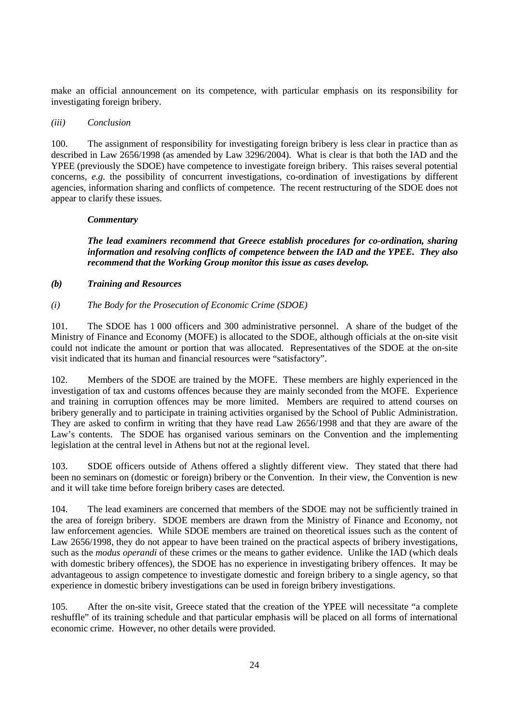make an official announcement on its competence, with particular emphasis on its responsibility for investigating foreign bribery.

#### *(iii) Conclusion*

100. The assignment of responsibility for investigating foreign bribery is less clear in practice than as described in Law 2656/1998 (as amended by Law 3296/2004). What is clear is that both the IAD and the YPEE (previously the SDOE) have competence to investigate foreign bribery. This raises several potential concerns, *e.g.* the possibility of concurrent investigations, co-ordination of investigations by different agencies, information sharing and conflicts of competence. The recent restructuring of the SDOE does not appear to clarify these issues.

#### *Commentary*

*The lead examiners recommend that Greece establish procedures for co-ordination, sharing information and resolving conflicts of competence between the IAD and the YPEE. They also recommend that the Working Group monitor this issue as cases develop.* 

#### *(b) Training and Resources*

*(i) The Body for the Prosecution of Economic Crime (SDOE)* 

101. The SDOE has 1 000 officers and 300 administrative personnel. A share of the budget of the Ministry of Finance and Economy (MOFE) is allocated to the SDOE, although officials at the on-site visit could not indicate the amount or portion that was allocated. Representatives of the SDOE at the on-site visit indicated that its human and financial resources were "satisfactory".

102. Members of the SDOE are trained by the MOFE. These members are highly experienced in the investigation of tax and customs offences because they are mainly seconded from the MOFE. Experience and training in corruption offences may be more limited. Members are required to attend courses on bribery generally and to participate in training activities organised by the School of Public Administration. They are asked to confirm in writing that they have read Law 2656/1998 and that they are aware of the Law's contents. The SDOE has organised various seminars on the Convention and the implementing legislation at the central level in Athens but not at the regional level.

103. SDOE officers outside of Athens offered a slightly different view. They stated that there had been no seminars on (domestic or foreign) bribery or the Convention. In their view, the Convention is new and it will take time before foreign bribery cases are detected.

104. The lead examiners are concerned that members of the SDOE may not be sufficiently trained in the area of foreign bribery. SDOE members are drawn from the Ministry of Finance and Economy, not law enforcement agencies. While SDOE members are trained on theoretical issues such as the content of Law 2656/1998, they do not appear to have been trained on the practical aspects of bribery investigations, such as the *modus operandi* of these crimes or the means to gather evidence. Unlike the IAD (which deals with domestic bribery offences), the SDOE has no experience in investigating bribery offences. It may be advantageous to assign competence to investigate domestic and foreign bribery to a single agency, so that experience in domestic bribery investigations can be used in foreign bribery investigations.

105. After the on-site visit, Greece stated that the creation of the YPEE will necessitate "a complete reshuffle" of its training schedule and that particular emphasis will be placed on all forms of international economic crime. However, no other details were provided.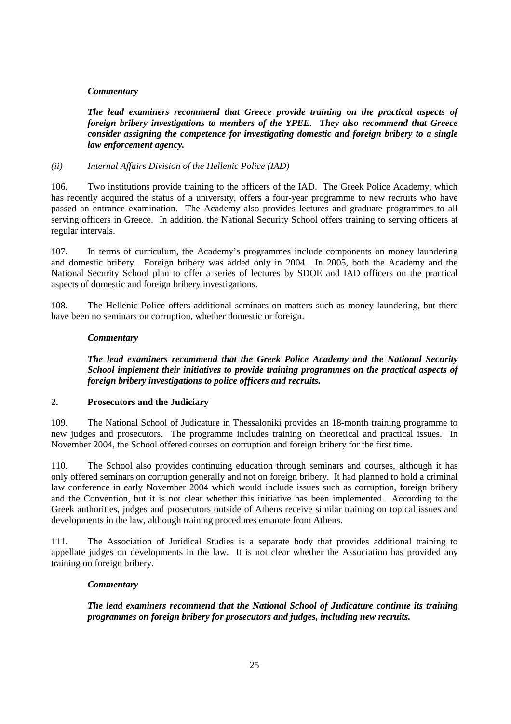#### *Commentary*

*The lead examiners recommend that Greece provide training on the practical aspects of foreign bribery investigations to members of the YPEE. They also recommend that Greece consider assigning the competence for investigating domestic and foreign bribery to a single law enforcement agency.* 

#### *(ii) Internal Affairs Division of the Hellenic Police (IAD)*

106. Two institutions provide training to the officers of the IAD. The Greek Police Academy, which has recently acquired the status of a university, offers a four-year programme to new recruits who have passed an entrance examination. The Academy also provides lectures and graduate programmes to all serving officers in Greece. In addition, the National Security School offers training to serving officers at regular intervals.

107. In terms of curriculum, the Academy's programmes include components on money laundering and domestic bribery. Foreign bribery was added only in 2004. In 2005, both the Academy and the National Security School plan to offer a series of lectures by SDOE and IAD officers on the practical aspects of domestic and foreign bribery investigations.

108. The Hellenic Police offers additional seminars on matters such as money laundering, but there have been no seminars on corruption, whether domestic or foreign.

#### *Commentary*

*The lead examiners recommend that the Greek Police Academy and the National Security School implement their initiatives to provide training programmes on the practical aspects of foreign bribery investigations to police officers and recruits.* 

#### **2. Prosecutors and the Judiciary**

109. The National School of Judicature in Thessaloniki provides an 18-month training programme to new judges and prosecutors. The programme includes training on theoretical and practical issues. In November 2004, the School offered courses on corruption and foreign bribery for the first time.

110. The School also provides continuing education through seminars and courses, although it has only offered seminars on corruption generally and not on foreign bribery. It had planned to hold a criminal law conference in early November 2004 which would include issues such as corruption, foreign bribery and the Convention, but it is not clear whether this initiative has been implemented. According to the Greek authorities, judges and prosecutors outside of Athens receive similar training on topical issues and developments in the law, although training procedures emanate from Athens.

111. The Association of Juridical Studies is a separate body that provides additional training to appellate judges on developments in the law. It is not clear whether the Association has provided any training on foreign bribery.

#### *Commentary*

*The lead examiners recommend that the National School of Judicature continue its training programmes on foreign bribery for prosecutors and judges, including new recruits.*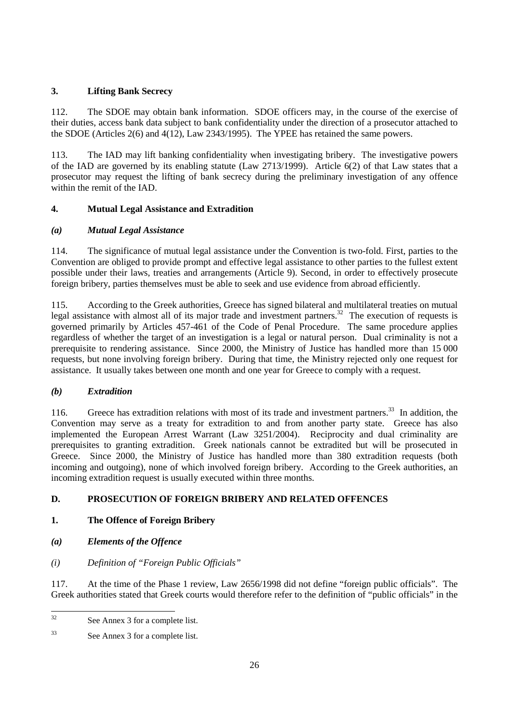# **3. Lifting Bank Secrecy**

112. The SDOE may obtain bank information. SDOE officers may, in the course of the exercise of their duties, access bank data subject to bank confidentiality under the direction of a prosecutor attached to the SDOE (Articles 2(6) and 4(12), Law 2343/1995). The YPEE has retained the same powers.

113. The IAD may lift banking confidentiality when investigating bribery. The investigative powers of the IAD are governed by its enabling statute (Law 2713/1999). Article 6(2) of that Law states that a prosecutor may request the lifting of bank secrecy during the preliminary investigation of any offence within the remit of the IAD.

# **4. Mutual Legal Assistance and Extradition**

# *(a) Mutual Legal Assistance*

114. The significance of mutual legal assistance under the Convention is two-fold. First, parties to the Convention are obliged to provide prompt and effective legal assistance to other parties to the fullest extent possible under their laws, treaties and arrangements (Article 9). Second, in order to effectively prosecute foreign bribery, parties themselves must be able to seek and use evidence from abroad efficiently.

115. According to the Greek authorities, Greece has signed bilateral and multilateral treaties on mutual legal assistance with almost all of its major trade and investment partners.<sup>32</sup> The execution of requests is governed primarily by Articles 457-461 of the Code of Penal Procedure. The same procedure applies regardless of whether the target of an investigation is a legal or natural person. Dual criminality is not a prerequisite to rendering assistance. Since 2000, the Ministry of Justice has handled more than 15 000 requests, but none involving foreign bribery. During that time, the Ministry rejected only one request for assistance. It usually takes between one month and one year for Greece to comply with a request.

# *(b) Extradition*

116. Greece has extradition relations with most of its trade and investment partners.<sup>33</sup> In addition, the Convention may serve as a treaty for extradition to and from another party state. Greece has also implemented the European Arrest Warrant (Law 3251/2004). Reciprocity and dual criminality are prerequisites to granting extradition. Greek nationals cannot be extradited but will be prosecuted in Greece. Since 2000, the Ministry of Justice has handled more than 380 extradition requests (both incoming and outgoing), none of which involved foreign bribery. According to the Greek authorities, an incoming extradition request is usually executed within three months.

# **D. PROSECUTION OF FOREIGN BRIBERY AND RELATED OFFENCES**

# **1. The Offence of Foreign Bribery**

- *(a) Elements of the Offence*
- *(i) Definition of "Foreign Public Officials"*

117. At the time of the Phase 1 review, Law 2656/1998 did not define "foreign public officials". The Greek authorities stated that Greek courts would therefore refer to the definition of "public officials" in the

 $32$ See Annex 3 for a complete list.

<sup>33</sup> See Annex 3 for a complete list.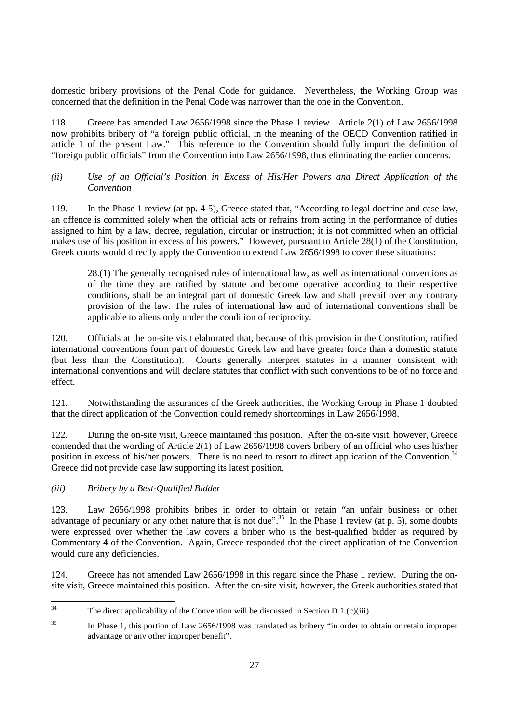domestic bribery provisions of the Penal Code for guidance. Nevertheless, the Working Group was concerned that the definition in the Penal Code was narrower than the one in the Convention.

118. Greece has amended Law 2656/1998 since the Phase 1 review. Article 2(1) of Law 2656/1998 now prohibits bribery of "a foreign public official, in the meaning of the OECD Convention ratified in article 1 of the present Law." This reference to the Convention should fully import the definition of "foreign public officials" from the Convention into Law 2656/1998, thus eliminating the earlier concerns.

## *(ii) Use of an Official's Position in Excess of His/Her Powers and Direct Application of the Convention*

119. In the Phase 1 review (at pp**.** 4-5), Greece stated that, "According to legal doctrine and case law, an offence is committed solely when the official acts or refrains from acting in the performance of duties assigned to him by a law, decree, regulation, circular or instruction; it is not committed when an official makes use of his position in excess of his powers**.**" However, pursuant to Article 28(1) of the Constitution, Greek courts would directly apply the Convention to extend Law 2656/1998 to cover these situations:

28.(1) The generally recognised rules of international law, as well as international conventions as of the time they are ratified by statute and become operative according to their respective conditions, shall be an integral part of domestic Greek law and shall prevail over any contrary provision of the law. The rules of international law and of international conventions shall be applicable to aliens only under the condition of reciprocity.

120. Officials at the on-site visit elaborated that, because of this provision in the Constitution, ratified international conventions form part of domestic Greek law and have greater force than a domestic statute (but less than the Constitution). Courts generally interpret statutes in a manner consistent with international conventions and will declare statutes that conflict with such conventions to be of no force and effect.

121. Notwithstanding the assurances of the Greek authorities, the Working Group in Phase 1 doubted that the direct application of the Convention could remedy shortcomings in Law 2656/1998.

122. During the on-site visit, Greece maintained this position. After the on-site visit, however, Greece contended that the wording of Article 2(1) of Law 2656/1998 covers bribery of an official who uses his/her position in excess of his/her powers. There is no need to resort to direct application of the Convention.<sup>34</sup> Greece did not provide case law supporting its latest position.

# *(iii) Bribery by a Best-Qualified Bidder*

123. Law 2656/1998 prohibits bribes in order to obtain or retain "an unfair business or other advantage of pecuniary or any other nature that is not due".<sup>35</sup> In the Phase 1 review (at p. 5), some doubts were expressed over whether the law covers a briber who is the best-qualified bidder as required by Commentary **4** of the Convention. Again, Greece responded that the direct application of the Convention would cure any deficiencies.

124. Greece has not amended Law 2656/1998 in this regard since the Phase 1 review. During the onsite visit, Greece maintained this position. After the on-site visit, however, the Greek authorities stated that

 $34$ The direct applicability of the Convention will be discussed in Section D.1. $(c)$ (iii).

<sup>&</sup>lt;sup>35</sup> In Phase 1, this portion of Law 2656/1998 was translated as bribery "in order to obtain or retain improper advantage or any other improper benefit".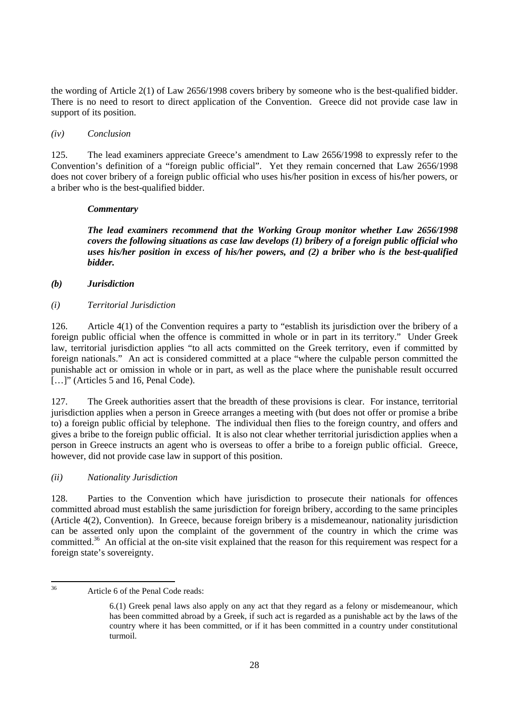the wording of Article 2(1) of Law 2656/1998 covers bribery by someone who is the best-qualified bidder. There is no need to resort to direct application of the Convention. Greece did not provide case law in support of its position.

#### *(iv) Conclusion*

125. The lead examiners appreciate Greece's amendment to Law 2656/1998 to expressly refer to the Convention's definition of a "foreign public official". Yet they remain concerned that Law 2656/1998 does not cover bribery of a foreign public official who uses his/her position in excess of his/her powers, or a briber who is the best-qualified bidder.

#### *Commentary*

*The lead examiners recommend that the Working Group monitor whether Law 2656/1998 covers the following situations as case law develops (1) bribery of a foreign public official who uses his/her position in excess of his/her powers, and (2) a briber who is the best-qualified bidder.* 

#### *(b) Jurisdiction*

*(i) Territorial Jurisdiction* 

126. Article 4(1) of the Convention requires a party to "establish its jurisdiction over the bribery of a foreign public official when the offence is committed in whole or in part in its territory." Under Greek law, territorial jurisdiction applies "to all acts committed on the Greek territory, even if committed by foreign nationals." An act is considered committed at a place "where the culpable person committed the punishable act or omission in whole or in part, as well as the place where the punishable result occurred [...]" (Articles 5 and 16, Penal Code).

127. The Greek authorities assert that the breadth of these provisions is clear. For instance, territorial jurisdiction applies when a person in Greece arranges a meeting with (but does not offer or promise a bribe to) a foreign public official by telephone. The individual then flies to the foreign country, and offers and gives a bribe to the foreign public official. It is also not clear whether territorial jurisdiction applies when a person in Greece instructs an agent who is overseas to offer a bribe to a foreign public official. Greece, however, did not provide case law in support of this position.

#### *(ii) Nationality Jurisdiction*

128. Parties to the Convention which have jurisdiction to prosecute their nationals for offences committed abroad must establish the same jurisdiction for foreign bribery, according to the same principles (Article 4(2), Convention). In Greece, because foreign bribery is a misdemeanour, nationality jurisdiction can be asserted only upon the complaint of the government of the country in which the crime was committed.<sup>36</sup> An official at the on-site visit explained that the reason for this requirement was respect for a foreign state's sovereignty.

<sup>36</sup> Article 6 of the Penal Code reads:

<sup>6.(1)</sup> Greek penal laws also apply on any act that they regard as a felony or misdemeanour, which has been committed abroad by a Greek, if such act is regarded as a punishable act by the laws of the country where it has been committed, or if it has been committed in a country under constitutional turmoil.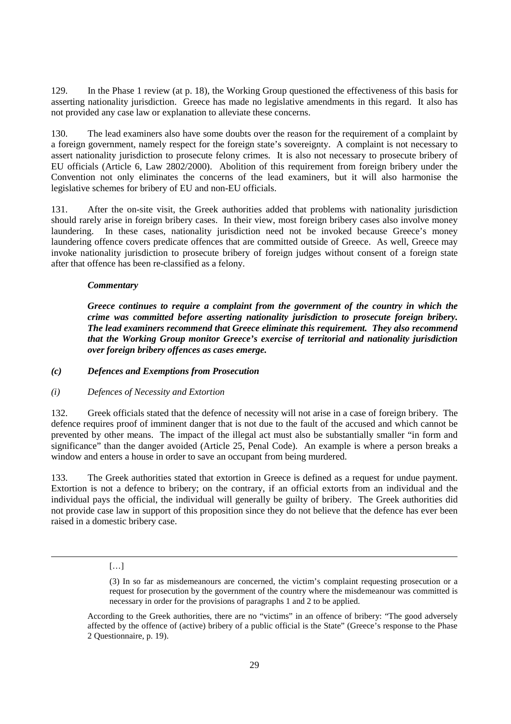129. In the Phase 1 review (at p. 18), the Working Group questioned the effectiveness of this basis for asserting nationality jurisdiction. Greece has made no legislative amendments in this regard. It also has not provided any case law or explanation to alleviate these concerns.

130. The lead examiners also have some doubts over the reason for the requirement of a complaint by a foreign government, namely respect for the foreign state's sovereignty. A complaint is not necessary to assert nationality jurisdiction to prosecute felony crimes. It is also not necessary to prosecute bribery of EU officials (Article 6, Law 2802/2000). Abolition of this requirement from foreign bribery under the Convention not only eliminates the concerns of the lead examiners, but it will also harmonise the legislative schemes for bribery of EU and non-EU officials.

131. After the on-site visit, the Greek authorities added that problems with nationality jurisdiction should rarely arise in foreign bribery cases. In their view, most foreign bribery cases also involve money laundering. In these cases, nationality jurisdiction need not be invoked because Greece's money laundering offence covers predicate offences that are committed outside of Greece. As well, Greece may invoke nationality jurisdiction to prosecute bribery of foreign judges without consent of a foreign state after that offence has been re-classified as a felony.

#### *Commentary*

*Greece continues to require a complaint from the government of the country in which the crime was committed before asserting nationality jurisdiction to prosecute foreign bribery. The lead examiners recommend that Greece eliminate this requirement. They also recommend that the Working Group monitor Greece's exercise of territorial and nationality jurisdiction over foreign bribery offences as cases emerge.* 

#### *(c) Defences and Exemptions from Prosecution*

#### *(i) Defences of Necessity and Extortion*

132. Greek officials stated that the defence of necessity will not arise in a case of foreign bribery. The defence requires proof of imminent danger that is not due to the fault of the accused and which cannot be prevented by other means. The impact of the illegal act must also be substantially smaller "in form and significance" than the danger avoided (Article 25, Penal Code). An example is where a person breaks a window and enters a house in order to save an occupant from being murdered.

133. The Greek authorities stated that extortion in Greece is defined as a request for undue payment. Extortion is not a defence to bribery; on the contrary, if an official extorts from an individual and the individual pays the official, the individual will generally be guilty of bribery. The Greek authorities did not provide case law in support of this proposition since they do not believe that the defence has ever been raised in a domestic bribery case.

#### […]

<u>.</u>

<sup>(3)</sup> In so far as misdemeanours are concerned, the victim's complaint requesting prosecution or a request for prosecution by the government of the country where the misdemeanour was committed is necessary in order for the provisions of paragraphs 1 and 2 to be applied.

According to the Greek authorities, there are no "victims" in an offence of bribery: "The good adversely affected by the offence of (active) bribery of a public official is the State" (Greece's response to the Phase 2 Questionnaire, p. 19).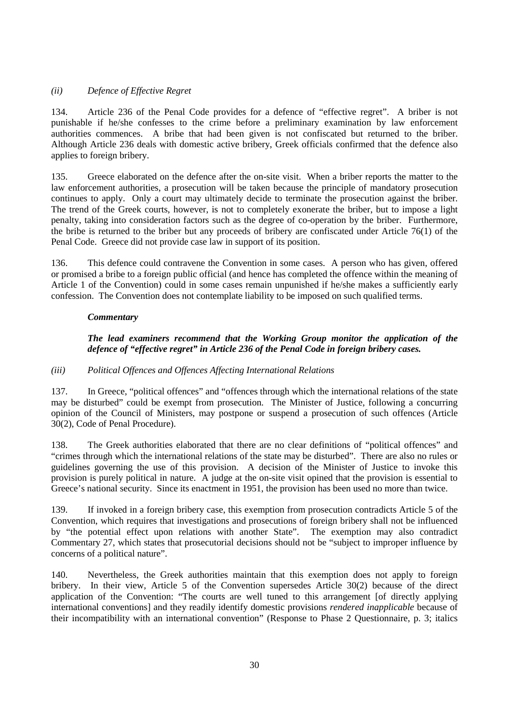## *(ii) Defence of Effective Regret*

134. Article 236 of the Penal Code provides for a defence of "effective regret". A briber is not punishable if he/she confesses to the crime before a preliminary examination by law enforcement authorities commences. A bribe that had been given is not confiscated but returned to the briber. Although Article 236 deals with domestic active bribery, Greek officials confirmed that the defence also applies to foreign bribery.

135. Greece elaborated on the defence after the on-site visit. When a briber reports the matter to the law enforcement authorities, a prosecution will be taken because the principle of mandatory prosecution continues to apply. Only a court may ultimately decide to terminate the prosecution against the briber. The trend of the Greek courts, however, is not to completely exonerate the briber, but to impose a light penalty, taking into consideration factors such as the degree of co-operation by the briber. Furthermore, the bribe is returned to the briber but any proceeds of bribery are confiscated under Article 76(1) of the Penal Code. Greece did not provide case law in support of its position.

136. This defence could contravene the Convention in some cases. A person who has given, offered or promised a bribe to a foreign public official (and hence has completed the offence within the meaning of Article 1 of the Convention) could in some cases remain unpunished if he/she makes a sufficiently early confession. The Convention does not contemplate liability to be imposed on such qualified terms.

#### *Commentary*

## *The lead examiners recommend that the Working Group monitor the application of the defence of "effective regret" in Article 236 of the Penal Code in foreign bribery cases.*

#### *(iii) Political Offences and Offences Affecting International Relations*

137. In Greece, "political offences" and "offences through which the international relations of the state may be disturbed" could be exempt from prosecution. The Minister of Justice, following a concurring opinion of the Council of Ministers, may postpone or suspend a prosecution of such offences (Article 30(2), Code of Penal Procedure).

138. The Greek authorities elaborated that there are no clear definitions of "political offences" and "crimes through which the international relations of the state may be disturbed". There are also no rules or guidelines governing the use of this provision. A decision of the Minister of Justice to invoke this provision is purely political in nature. A judge at the on-site visit opined that the provision is essential to Greece's national security. Since its enactment in 1951, the provision has been used no more than twice.

139. If invoked in a foreign bribery case, this exemption from prosecution contradicts Article 5 of the Convention, which requires that investigations and prosecutions of foreign bribery shall not be influenced by "the potential effect upon relations with another State". The exemption may also contradict Commentary 27, which states that prosecutorial decisions should not be "subject to improper influence by concerns of a political nature".

140. Nevertheless, the Greek authorities maintain that this exemption does not apply to foreign bribery. In their view, Article 5 of the Convention supersedes Article 30(2) because of the direct application of the Convention: "The courts are well tuned to this arrangement [of directly applying international conventions] and they readily identify domestic provisions *rendered inapplicable* because of their incompatibility with an international convention" (Response to Phase 2 Questionnaire, p. 3; italics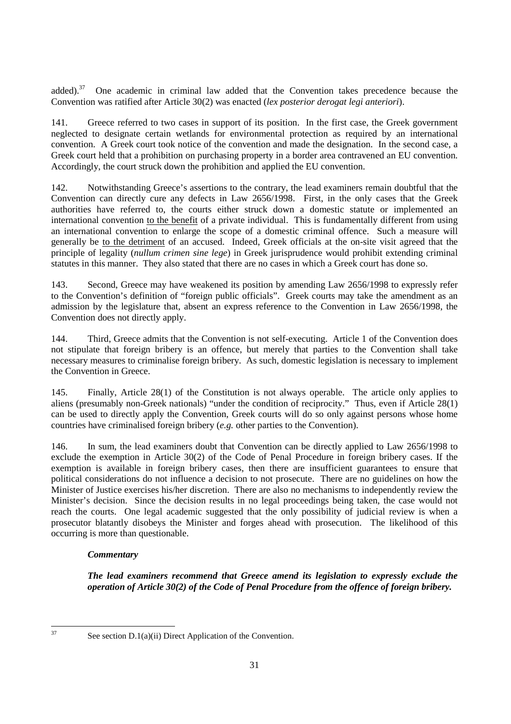added).<sup>37</sup> One academic in criminal law added that the Convention takes precedence because the Convention was ratified after Article 30(2) was enacted (*lex posterior derogat legi anteriori*).

141. Greece referred to two cases in support of its position. In the first case, the Greek government neglected to designate certain wetlands for environmental protection as required by an international convention. A Greek court took notice of the convention and made the designation. In the second case, a Greek court held that a prohibition on purchasing property in a border area contravened an EU convention. Accordingly, the court struck down the prohibition and applied the EU convention.

142. Notwithstanding Greece's assertions to the contrary, the lead examiners remain doubtful that the Convention can directly cure any defects in Law 2656/1998. First, in the only cases that the Greek authorities have referred to, the courts either struck down a domestic statute or implemented an international convention to the benefit of a private individual. This is fundamentally different from using an international convention to enlarge the scope of a domestic criminal offence. Such a measure will generally be to the detriment of an accused. Indeed, Greek officials at the on-site visit agreed that the principle of legality (*nullum crimen sine lege*) in Greek jurisprudence would prohibit extending criminal statutes in this manner. They also stated that there are no cases in which a Greek court has done so.

143. Second, Greece may have weakened its position by amending Law 2656/1998 to expressly refer to the Convention's definition of "foreign public officials". Greek courts may take the amendment as an admission by the legislature that, absent an express reference to the Convention in Law 2656/1998, the Convention does not directly apply.

144. Third, Greece admits that the Convention is not self-executing. Article 1 of the Convention does not stipulate that foreign bribery is an offence, but merely that parties to the Convention shall take necessary measures to criminalise foreign bribery. As such, domestic legislation is necessary to implement the Convention in Greece.

145. Finally, Article 28(1) of the Constitution is not always operable. The article only applies to aliens (presumably non-Greek nationals) "under the condition of reciprocity." Thus, even if Article 28(1) can be used to directly apply the Convention, Greek courts will do so only against persons whose home countries have criminalised foreign bribery (*e.g.* other parties to the Convention).

146. In sum, the lead examiners doubt that Convention can be directly applied to Law 2656/1998 to exclude the exemption in Article 30(2) of the Code of Penal Procedure in foreign bribery cases. If the exemption is available in foreign bribery cases, then there are insufficient guarantees to ensure that political considerations do not influence a decision to not prosecute. There are no guidelines on how the Minister of Justice exercises his/her discretion. There are also no mechanisms to independently review the Minister's decision. Since the decision results in no legal proceedings being taken, the case would not reach the courts. One legal academic suggested that the only possibility of judicial review is when a prosecutor blatantly disobeys the Minister and forges ahead with prosecution. The likelihood of this occurring is more than questionable.

# *Commentary*

*The lead examiners recommend that Greece amend its legislation to expressly exclude the operation of Article 30(2) of the Code of Penal Procedure from the offence of foreign bribery.* 

37

See section  $D.1(a)(ii)$  Direct Application of the Convention.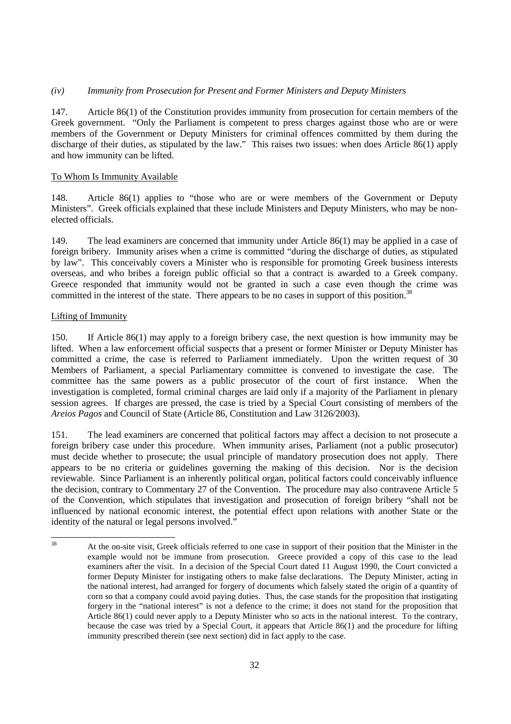#### *(iv) Immunity from Prosecution for Present and Former Ministers and Deputy Ministers*

147. Article 86(1) of the Constitution provides immunity from prosecution for certain members of the Greek government. "Only the Parliament is competent to press charges against those who are or were members of the Government or Deputy Ministers for criminal offences committed by them during the discharge of their duties, as stipulated by the law." This raises two issues: when does Article 86(1) apply and how immunity can be lifted.

#### To Whom Is Immunity Available

148. Article 86(1) applies to "those who are or were members of the Government or Deputy Ministers". Greek officials explained that these include Ministers and Deputy Ministers, who may be nonelected officials.

149. The lead examiners are concerned that immunity under Article 86(1) may be applied in a case of foreign bribery. Immunity arises when a crime is committed "during the discharge of duties, as stipulated by law". This conceivably covers a Minister who is responsible for promoting Greek business interests overseas, and who bribes a foreign public official so that a contract is awarded to a Greek company. Greece responded that immunity would not be granted in such a case even though the crime was committed in the interest of the state. There appears to be no cases in support of this position.<sup>38</sup>

#### Lifting of Immunity

150. If Article 86(1) may apply to a foreign bribery case, the next question is how immunity may be lifted. When a law enforcement official suspects that a present or former Minister or Deputy Minister has committed a crime, the case is referred to Parliament immediately. Upon the written request of 30 Members of Parliament, a special Parliamentary committee is convened to investigate the case. The committee has the same powers as a public prosecutor of the court of first instance. When the investigation is completed, formal criminal charges are laid only if a majority of the Parliament in plenary session agrees. If charges are pressed, the case is tried by a Special Court consisting of members of the *Areios Pagos* and Council of State (Article 86, Constitution and Law 3126/2003).

151. The lead examiners are concerned that political factors may affect a decision to not prosecute a foreign bribery case under this procedure. When immunity arises, Parliament (not a public prosecutor) must decide whether to prosecute; the usual principle of mandatory prosecution does not apply. There appears to be no criteria or guidelines governing the making of this decision. Nor is the decision reviewable. Since Parliament is an inherently political organ, political factors could conceivably influence the decision, contrary to Commentary 27 of the Convention. The procedure may also contravene Article 5 of the Convention, which stipulates that investigation and prosecution of foreign bribery "shall not be influenced by national economic interest, the potential effect upon relations with another State or the identity of the natural or legal persons involved."

<sup>38</sup> 38 At the on-site visit, Greek officials referred to one case in support of their position that the Minister in the example would not be immune from prosecution. Greece provided a copy of this case to the lead examiners after the visit. In a decision of the Special Court dated 11 August 1990, the Court convicted a former Deputy Minister for instigating others to make false declarations. The Deputy Minister, acting in the national interest, had arranged for forgery of documents which falsely stated the origin of a quantity of corn so that a company could avoid paying duties. Thus, the case stands for the proposition that instigating forgery in the "national interest" is not a defence to the crime; it does not stand for the proposition that Article 86(1) could never apply to a Deputy Minister who so acts in the national interest. To the contrary, because the case was tried by a Special Court, it appears that Article 86(1) and the procedure for lifting immunity prescribed therein (see next section) did in fact apply to the case.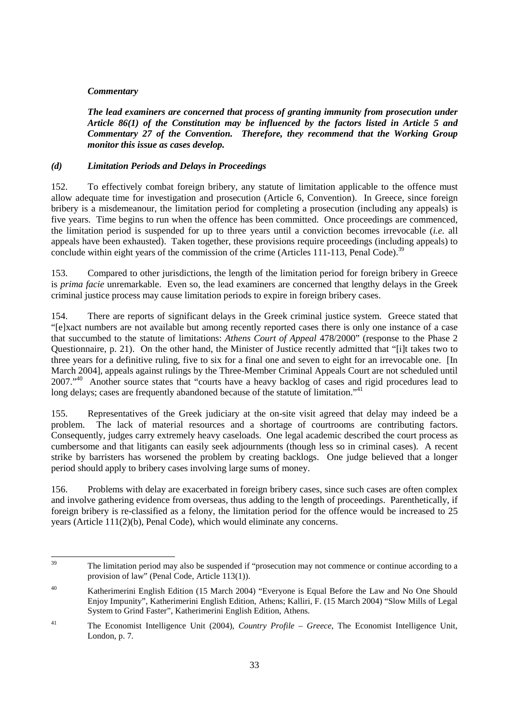#### *Commentary*

*The lead examiners are concerned that process of granting immunity from prosecution under Article 86(1) of the Constitution may be influenced by the factors listed in Article 5 and Commentary 27 of the Convention. Therefore, they recommend that the Working Group monitor this issue as cases develop.* 

#### *(d) Limitation Periods and Delays in Proceedings*

152. To effectively combat foreign bribery, any statute of limitation applicable to the offence must allow adequate time for investigation and prosecution (Article 6, Convention). In Greece, since foreign bribery is a misdemeanour, the limitation period for completing a prosecution (including any appeals) is five years. Time begins to run when the offence has been committed. Once proceedings are commenced, the limitation period is suspended for up to three years until a conviction becomes irrevocable (*i.e.* all appeals have been exhausted). Taken together, these provisions require proceedings (including appeals) to conclude within eight years of the commission of the crime (Articles 111-113, Penal Code).<sup>39</sup>

153. Compared to other jurisdictions, the length of the limitation period for foreign bribery in Greece is *prima facie* unremarkable. Even so, the lead examiners are concerned that lengthy delays in the Greek criminal justice process may cause limitation periods to expire in foreign bribery cases.

154. There are reports of significant delays in the Greek criminal justice system. Greece stated that "[e]xact numbers are not available but among recently reported cases there is only one instance of a case that succumbed to the statute of limitations: *Athens Court of Appeal* 478/2000" (response to the Phase 2 Questionnaire, p. 21). On the other hand, the Minister of Justice recently admitted that "[i]t takes two to three years for a definitive ruling, five to six for a final one and seven to eight for an irrevocable one. [In March 2004], appeals against rulings by the Three-Member Criminal Appeals Court are not scheduled until 2007.<sup>40</sup> Another source states that "courts have a heavy backlog of cases and rigid procedures lead to long delays; cases are frequently abandoned because of the statute of limitation."<sup>41</sup>

155. Representatives of the Greek judiciary at the on-site visit agreed that delay may indeed be a problem. The lack of material resources and a shortage of courtrooms are contributing factors. Consequently, judges carry extremely heavy caseloads. One legal academic described the court process as cumbersome and that litigants can easily seek adjournments (though less so in criminal cases). A recent strike by barristers has worsened the problem by creating backlogs. One judge believed that a longer period should apply to bribery cases involving large sums of money.

156. Problems with delay are exacerbated in foreign bribery cases, since such cases are often complex and involve gathering evidence from overseas, thus adding to the length of proceedings. Parenthetically, if foreign bribery is re-classified as a felony, the limitation period for the offence would be increased to 25 years (Article 111(2)(b), Penal Code), which would eliminate any concerns.

 $30^{\circ}$ The limitation period may also be suspended if "prosecution may not commence or continue according to a provision of law" (Penal Code, Article 113(1)).

<sup>40</sup> Katherimerini English Edition (15 March 2004) "Everyone is Equal Before the Law and No One Should Enjoy Impunity", Katherimerini English Edition, Athens; Kalliri, F. (15 March 2004) "Slow Mills of Legal System to Grind Faster", Katherimerini English Edition, Athens.

<sup>41</sup> The Economist Intelligence Unit (2004), *Country Profile – Greece*, The Economist Intelligence Unit, London, p. 7.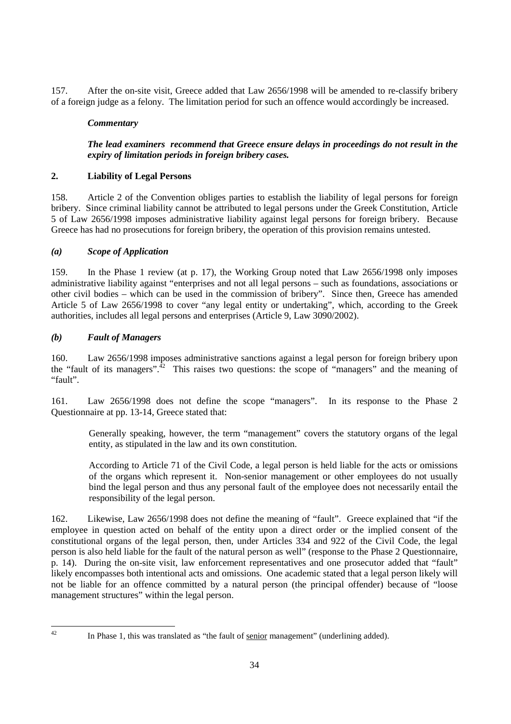157. After the on-site visit, Greece added that Law 2656/1998 will be amended to re-classify bribery of a foreign judge as a felony. The limitation period for such an offence would accordingly be increased.

## *Commentary*

## *The lead examiners recommend that Greece ensure delays in proceedings do not result in the expiry of limitation periods in foreign bribery cases.*

# **2. Liability of Legal Persons**

158. Article 2 of the Convention obliges parties to establish the liability of legal persons for foreign bribery. Since criminal liability cannot be attributed to legal persons under the Greek Constitution, Article 5 of Law 2656/1998 imposes administrative liability against legal persons for foreign bribery. Because Greece has had no prosecutions for foreign bribery, the operation of this provision remains untested.

## *(a) Scope of Application*

159. In the Phase 1 review (at p. 17), the Working Group noted that Law 2656/1998 only imposes administrative liability against "enterprises and not all legal persons – such as foundations, associations or other civil bodies – which can be used in the commission of bribery". Since then, Greece has amended Article 5 of Law 2656/1998 to cover "any legal entity or undertaking", which, according to the Greek authorities, includes all legal persons and enterprises (Article 9, Law 3090/2002).

## *(b) Fault of Managers*

160. Law 2656/1998 imposes administrative sanctions against a legal person for foreign bribery upon the "fault of its managers".<sup>42</sup> This raises two questions: the scope of "managers" and the meaning of "fault".

161. Law 2656/1998 does not define the scope "managers". In its response to the Phase 2 Questionnaire at pp. 13-14, Greece stated that:

Generally speaking, however, the term "management" covers the statutory organs of the legal entity, as stipulated in the law and its own constitution.

According to Article 71 of the Civil Code, a legal person is held liable for the acts or omissions of the organs which represent it. Non-senior management or other employees do not usually bind the legal person and thus any personal fault of the employee does not necessarily entail the responsibility of the legal person.

162. Likewise, Law 2656/1998 does not define the meaning of "fault". Greece explained that "if the employee in question acted on behalf of the entity upon a direct order or the implied consent of the constitutional organs of the legal person, then, under Articles 334 and 922 of the Civil Code, the legal person is also held liable for the fault of the natural person as well" (response to the Phase 2 Questionnaire, p. 14). During the on-site visit, law enforcement representatives and one prosecutor added that "fault" likely encompasses both intentional acts and omissions. One academic stated that a legal person likely will not be liable for an offence committed by a natural person (the principal offender) because of "loose management structures" within the legal person.

 $42 \overline{)}$ 

In Phase 1, this was translated as "the fault of senior management" (underlining added).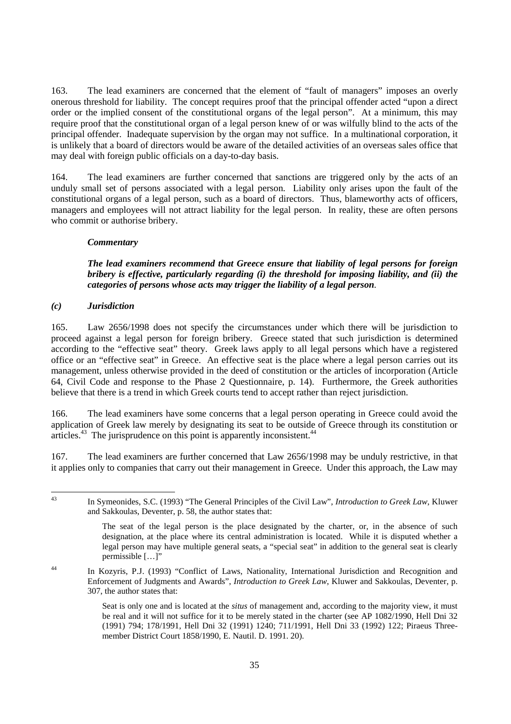163. The lead examiners are concerned that the element of "fault of managers" imposes an overly onerous threshold for liability. The concept requires proof that the principal offender acted "upon a direct order or the implied consent of the constitutional organs of the legal person". At a minimum, this may require proof that the constitutional organ of a legal person knew of or was wilfully blind to the acts of the principal offender. Inadequate supervision by the organ may not suffice. In a multinational corporation, it is unlikely that a board of directors would be aware of the detailed activities of an overseas sales office that may deal with foreign public officials on a day-to-day basis.

164. The lead examiners are further concerned that sanctions are triggered only by the acts of an unduly small set of persons associated with a legal person. Liability only arises upon the fault of the constitutional organs of a legal person, such as a board of directors. Thus, blameworthy acts of officers, managers and employees will not attract liability for the legal person. In reality, these are often persons who commit or authorise bribery.

#### *Commentary*

#### *The lead examiners recommend that Greece ensure that liability of legal persons for foreign bribery is effective, particularly regarding (i) the threshold for imposing liability, and (ii) the categories of persons whose acts may trigger the liability of a legal person.*

#### *(c) Jurisdiction*

165. Law 2656/1998 does not specify the circumstances under which there will be jurisdiction to proceed against a legal person for foreign bribery. Greece stated that such jurisdiction is determined according to the "effective seat" theory. Greek laws apply to all legal persons which have a registered office or an "effective seat" in Greece. An effective seat is the place where a legal person carries out its management, unless otherwise provided in the deed of constitution or the articles of incorporation (Article 64, Civil Code and response to the Phase 2 Questionnaire, p. 14). Furthermore, the Greek authorities believe that there is a trend in which Greek courts tend to accept rather than reject jurisdiction.

166. The lead examiners have some concerns that a legal person operating in Greece could avoid the application of Greek law merely by designating its seat to be outside of Greece through its constitution or  $arities.<sup>43</sup>$  The jurisprudence on this point is apparently inconsistent.<sup> $44$ </sup>

167. The lead examiners are further concerned that Law 2656/1998 may be unduly restrictive, in that it applies only to companies that carry out their management in Greece. Under this approach, the Law may

43 In Symeonides, S.C. (1993) "The General Principles of the Civil Law", *Introduction to Greek Law*, Kluwer and Sakkoulas, Deventer, p. 58, the author states that:

 $43$ 

The seat of the legal person is the place designated by the charter, or, in the absence of such designation, at the place where its central administration is located. While it is disputed whether a legal person may have multiple general seats, a "special seat" in addition to the general seat is clearly permissible […]"

<sup>44</sup> In Kozyris, P.J. (1993) "Conflict of Laws, Nationality, International Jurisdiction and Recognition and Enforcement of Judgments and Awards", *Introduction to Greek Law*, Kluwer and Sakkoulas, Deventer, p. 307, the author states that:

Seat is only one and is located at the *situs* of management and, according to the majority view, it must be real and it will not suffice for it to be merely stated in the charter (see AP 1082/1990, Hell Dni 32 (1991) 794; 178/1991, Hell Dni 32 (1991) 1240; 711/1991, Hell Dni 33 (1992) 122; Piraeus Threemember District Court 1858/1990, E. Nautil. D. 1991. 20).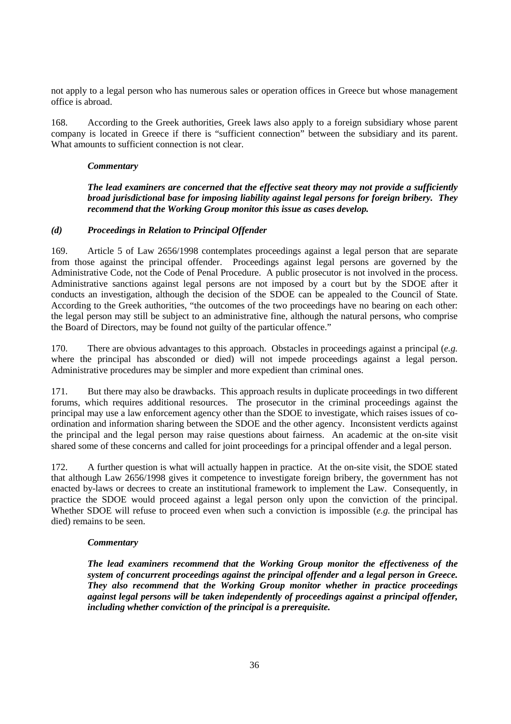not apply to a legal person who has numerous sales or operation offices in Greece but whose management office is abroad.

168. According to the Greek authorities, Greek laws also apply to a foreign subsidiary whose parent company is located in Greece if there is "sufficient connection" between the subsidiary and its parent. What amounts to sufficient connection is not clear.

#### *Commentary*

*The lead examiners are concerned that the effective seat theory may not provide a sufficiently broad jurisdictional base for imposing liability against legal persons for foreign bribery. They recommend that the Working Group monitor this issue as cases develop.* 

#### *(d) Proceedings in Relation to Principal Offender*

169. Article 5 of Law 2656/1998 contemplates proceedings against a legal person that are separate from those against the principal offender. Proceedings against legal persons are governed by the Administrative Code, not the Code of Penal Procedure. A public prosecutor is not involved in the process. Administrative sanctions against legal persons are not imposed by a court but by the SDOE after it conducts an investigation, although the decision of the SDOE can be appealed to the Council of State. According to the Greek authorities, "the outcomes of the two proceedings have no bearing on each other: the legal person may still be subject to an administrative fine, although the natural persons, who comprise the Board of Directors, may be found not guilty of the particular offence."

170. There are obvious advantages to this approach. Obstacles in proceedings against a principal (*e.g.* where the principal has absconded or died) will not impede proceedings against a legal person. Administrative procedures may be simpler and more expedient than criminal ones.

171. But there may also be drawbacks. This approach results in duplicate proceedings in two different forums, which requires additional resources. The prosecutor in the criminal proceedings against the principal may use a law enforcement agency other than the SDOE to investigate, which raises issues of coordination and information sharing between the SDOE and the other agency. Inconsistent verdicts against the principal and the legal person may raise questions about fairness. An academic at the on-site visit shared some of these concerns and called for joint proceedings for a principal offender and a legal person.

172. A further question is what will actually happen in practice. At the on-site visit, the SDOE stated that although Law 2656/1998 gives it competence to investigate foreign bribery, the government has not enacted by-laws or decrees to create an institutional framework to implement the Law. Consequently, in practice the SDOE would proceed against a legal person only upon the conviction of the principal. Whether SDOE will refuse to proceed even when such a conviction is impossible (*e.g.* the principal has died) remains to be seen.

#### *Commentary*

*The lead examiners recommend that the Working Group monitor the effectiveness of the system of concurrent proceedings against the principal offender and a legal person in Greece. They also recommend that the Working Group monitor whether in practice proceedings against legal persons will be taken independently of proceedings against a principal offender, including whether conviction of the principal is a prerequisite.*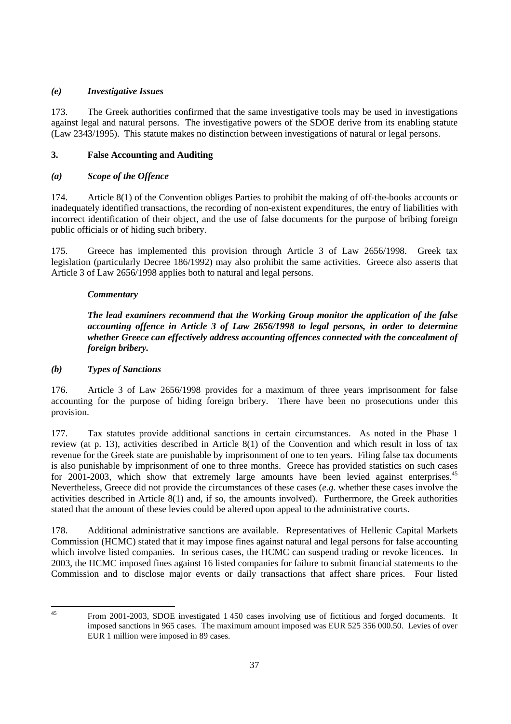# *(e) Investigative Issues*

173. The Greek authorities confirmed that the same investigative tools may be used in investigations against legal and natural persons. The investigative powers of the SDOE derive from its enabling statute (Law 2343/1995). This statute makes no distinction between investigations of natural or legal persons.

# **3. False Accounting and Auditing**

## *(a) Scope of the Offence*

174. Article 8(1) of the Convention obliges Parties to prohibit the making of off-the-books accounts or inadequately identified transactions, the recording of non-existent expenditures, the entry of liabilities with incorrect identification of their object, and the use of false documents for the purpose of bribing foreign public officials or of hiding such bribery.

175. Greece has implemented this provision through Article 3 of Law 2656/1998. Greek tax legislation (particularly Decree 186/1992) may also prohibit the same activities. Greece also asserts that Article 3 of Law 2656/1998 applies both to natural and legal persons.

#### *Commentary*

*The lead examiners recommend that the Working Group monitor the application of the false accounting offence in Article 3 of Law 2656/1998 to legal persons, in order to determine whether Greece can effectively address accounting offences connected with the concealment of foreign bribery.* 

#### *(b) Types of Sanctions*

176. Article 3 of Law 2656/1998 provides for a maximum of three years imprisonment for false accounting for the purpose of hiding foreign bribery. There have been no prosecutions under this provision.

177. Tax statutes provide additional sanctions in certain circumstances. As noted in the Phase 1 review (at p. 13), activities described in Article 8(1) of the Convention and which result in loss of tax revenue for the Greek state are punishable by imprisonment of one to ten years. Filing false tax documents is also punishable by imprisonment of one to three months. Greece has provided statistics on such cases for 2001-2003, which show that extremely large amounts have been levied against enterprises.<sup>45</sup> Nevertheless, Greece did not provide the circumstances of these cases (*e.g.* whether these cases involve the activities described in Article 8(1) and, if so, the amounts involved). Furthermore, the Greek authorities stated that the amount of these levies could be altered upon appeal to the administrative courts.

178. Additional administrative sanctions are available. Representatives of Hellenic Capital Markets Commission (HCMC) stated that it may impose fines against natural and legal persons for false accounting which involve listed companies. In serious cases, the HCMC can suspend trading or revoke licences. In 2003, the HCMC imposed fines against 16 listed companies for failure to submit financial statements to the Commission and to disclose major events or daily transactions that affect share prices. Four listed

 $45$ 

<sup>45</sup> From 2001-2003, SDOE investigated 1 450 cases involving use of fictitious and forged documents. It imposed sanctions in 965 cases. The maximum amount imposed was EUR 525 356 000.50. Levies of over EUR 1 million were imposed in 89 cases.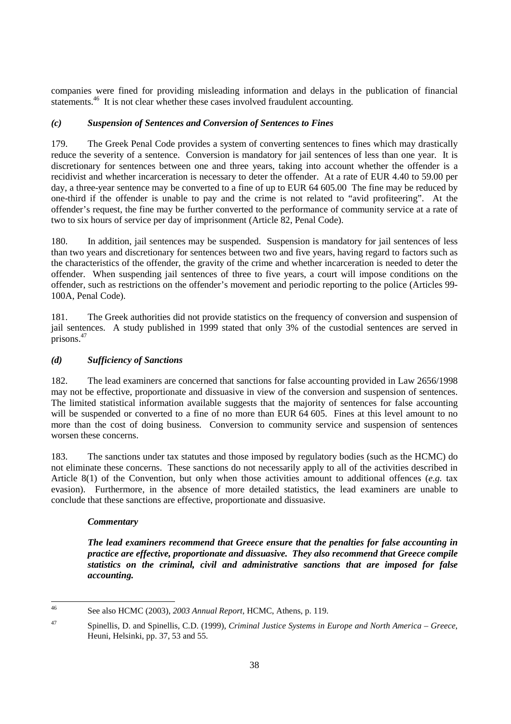companies were fined for providing misleading information and delays in the publication of financial statements.<sup>46</sup> It is not clear whether these cases involved fraudulent accounting.

## *(c) Suspension of Sentences and Conversion of Sentences to Fines*

179. The Greek Penal Code provides a system of converting sentences to fines which may drastically reduce the severity of a sentence. Conversion is mandatory for jail sentences of less than one year. It is discretionary for sentences between one and three years, taking into account whether the offender is a recidivist and whether incarceration is necessary to deter the offender. At a rate of EUR 4.40 to 59.00 per day, a three-year sentence may be converted to a fine of up to EUR 64 605.00 The fine may be reduced by one-third if the offender is unable to pay and the crime is not related to "avid profiteering". At the offender's request, the fine may be further converted to the performance of community service at a rate of two to six hours of service per day of imprisonment (Article 82, Penal Code).

180. In addition, jail sentences may be suspended. Suspension is mandatory for jail sentences of less than two years and discretionary for sentences between two and five years, having regard to factors such as the characteristics of the offender, the gravity of the crime and whether incarceration is needed to deter the offender. When suspending jail sentences of three to five years, a court will impose conditions on the offender, such as restrictions on the offender's movement and periodic reporting to the police (Articles 99- 100A, Penal Code).

181. The Greek authorities did not provide statistics on the frequency of conversion and suspension of jail sentences. A study published in 1999 stated that only 3% of the custodial sentences are served in prisons.47

# *(d) Sufficiency of Sanctions*

182. The lead examiners are concerned that sanctions for false accounting provided in Law 2656/1998 may not be effective, proportionate and dissuasive in view of the conversion and suspension of sentences. The limited statistical information available suggests that the majority of sentences for false accounting will be suspended or converted to a fine of no more than EUR 64 605. Fines at this level amount to no more than the cost of doing business. Conversion to community service and suspension of sentences worsen these concerns.

183. The sanctions under tax statutes and those imposed by regulatory bodies (such as the HCMC) do not eliminate these concerns. These sanctions do not necessarily apply to all of the activities described in Article 8(1) of the Convention, but only when those activities amount to additional offences (*e.g.* tax evasion). Furthermore, in the absence of more detailed statistics, the lead examiners are unable to conclude that these sanctions are effective, proportionate and dissuasive.

#### *Commentary*

*The lead examiners recommend that Greece ensure that the penalties for false accounting in practice are effective, proportionate and dissuasive. They also recommend that Greece compile statistics on the criminal, civil and administrative sanctions that are imposed for false accounting.* 

 $46$ 46 See also HCMC (2003), *2003 Annual Report*, HCMC, Athens, p. 119.

<sup>47</sup> Spinellis, D. and Spinellis, C.D. (1999), *Criminal Justice Systems in Europe and North America – Greece*, Heuni, Helsinki, pp. 37, 53 and 55.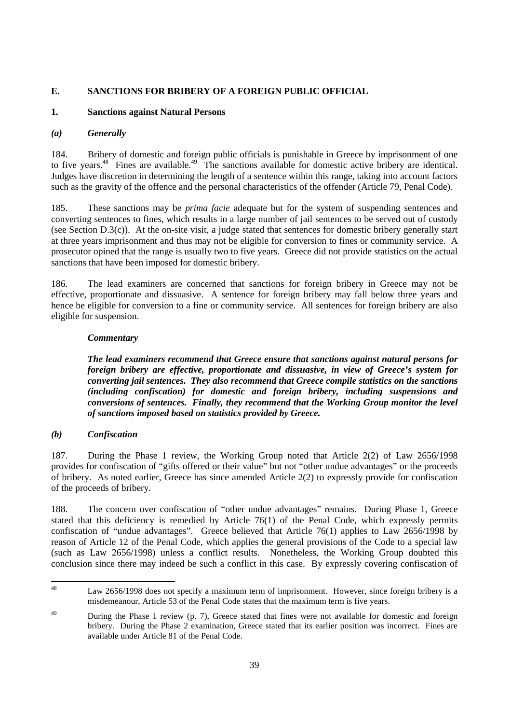# **E. SANCTIONS FOR BRIBERY OF A FOREIGN PUBLIC OFFICIAL**

#### **1. Sanctions against Natural Persons**

#### *(a) Generally*

184. Bribery of domestic and foreign public officials is punishable in Greece by imprisonment of one to five years.<sup>48</sup> Fines are available.<sup>49</sup> The sanctions available for domestic active bribery are identical. Judges have discretion in determining the length of a sentence within this range, taking into account factors such as the gravity of the offence and the personal characteristics of the offender (Article 79, Penal Code).

185. These sanctions may be *prima facie* adequate but for the system of suspending sentences and converting sentences to fines, which results in a large number of jail sentences to be served out of custody (see Section D.3(c)). At the on-site visit, a judge stated that sentences for domestic bribery generally start at three years imprisonment and thus may not be eligible for conversion to fines or community service. A prosecutor opined that the range is usually two to five years. Greece did not provide statistics on the actual sanctions that have been imposed for domestic bribery.

186. The lead examiners are concerned that sanctions for foreign bribery in Greece may not be effective, proportionate and dissuasive. A sentence for foreign bribery may fall below three years and hence be eligible for conversion to a fine or community service. All sentences for foreign bribery are also eligible for suspension.

#### *Commentary*

*The lead examiners recommend that Greece ensure that sanctions against natural persons for foreign bribery are effective, proportionate and dissuasive, in view of Greece's system for converting jail sentences. They also recommend that Greece compile statistics on the sanctions (including confiscation) for domestic and foreign bribery, including suspensions and conversions of sentences. Finally, they recommend that the Working Group monitor the level of sanctions imposed based on statistics provided by Greece.* 

#### *(b) Confiscation*

187. During the Phase 1 review, the Working Group noted that Article 2(2) of Law 2656/1998 provides for confiscation of "gifts offered or their value" but not "other undue advantages" or the proceeds of bribery. As noted earlier, Greece has since amended Article 2(2) to expressly provide for confiscation of the proceeds of bribery.

188. The concern over confiscation of "other undue advantages" remains. During Phase 1, Greece stated that this deficiency is remedied by Article 76(1) of the Penal Code, which expressly permits confiscation of "undue advantages". Greece believed that Article 76(1) applies to Law 2656/1998 by reason of Article 12 of the Penal Code, which applies the general provisions of the Code to a special law (such as Law 2656/1998) unless a conflict results. Nonetheless, the Working Group doubted this conclusion since there may indeed be such a conflict in this case. By expressly covering confiscation of

 $\overline{48}$ Law 2656/1998 does not specify a maximum term of imprisonment. However, since foreign bribery is a misdemeanour, Article 53 of the Penal Code states that the maximum term is five years.

<sup>&</sup>lt;sup>49</sup> During the Phase 1 review (p. 7), Greece stated that fines were not available for domestic and foreign bribery. During the Phase 2 examination, Greece stated that its earlier position was incorrect. Fines are available under Article 81 of the Penal Code.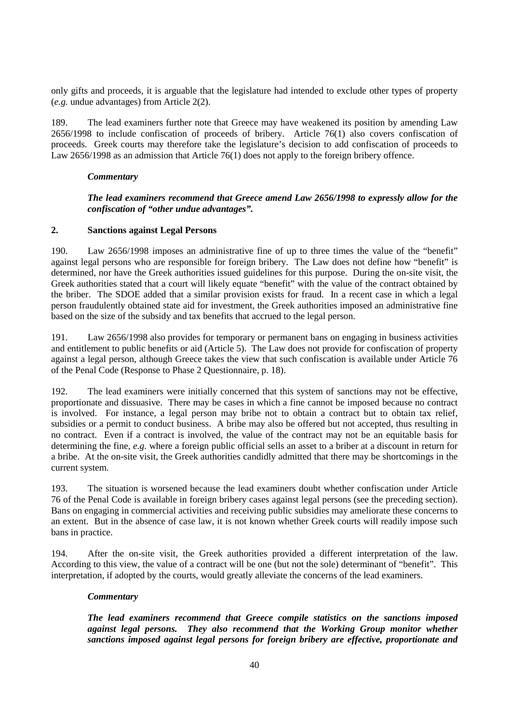only gifts and proceeds, it is arguable that the legislature had intended to exclude other types of property (*e.g.* undue advantages) from Article 2(2).

189. The lead examiners further note that Greece may have weakened its position by amending Law 2656/1998 to include confiscation of proceeds of bribery. Article 76(1) also covers confiscation of proceeds. Greek courts may therefore take the legislature's decision to add confiscation of proceeds to Law 2656/1998 as an admission that Article 76(1) does not apply to the foreign bribery offence.

#### *Commentary*

#### *The lead examiners recommend that Greece amend Law 2656/1998 to expressly allow for the confiscation of "other undue advantages".*

#### **2. Sanctions against Legal Persons**

190. Law 2656/1998 imposes an administrative fine of up to three times the value of the "benefit" against legal persons who are responsible for foreign bribery. The Law does not define how "benefit" is determined, nor have the Greek authorities issued guidelines for this purpose. During the on-site visit, the Greek authorities stated that a court will likely equate "benefit" with the value of the contract obtained by the briber. The SDOE added that a similar provision exists for fraud. In a recent case in which a legal person fraudulently obtained state aid for investment, the Greek authorities imposed an administrative fine based on the size of the subsidy and tax benefits that accrued to the legal person.

191. Law 2656/1998 also provides for temporary or permanent bans on engaging in business activities and entitlement to public benefits or aid (Article 5). The Law does not provide for confiscation of property against a legal person, although Greece takes the view that such confiscation is available under Article 76 of the Penal Code (Response to Phase 2 Questionnaire, p. 18).

192. The lead examiners were initially concerned that this system of sanctions may not be effective, proportionate and dissuasive. There may be cases in which a fine cannot be imposed because no contract is involved. For instance, a legal person may bribe not to obtain a contract but to obtain tax relief, subsidies or a permit to conduct business. A bribe may also be offered but not accepted, thus resulting in no contract. Even if a contract is involved, the value of the contract may not be an equitable basis for determining the fine, *e.g.* where a foreign public official sells an asset to a briber at a discount in return for a bribe. At the on-site visit, the Greek authorities candidly admitted that there may be shortcomings in the current system.

193. The situation is worsened because the lead examiners doubt whether confiscation under Article 76 of the Penal Code is available in foreign bribery cases against legal persons (see the preceding section). Bans on engaging in commercial activities and receiving public subsidies may ameliorate these concerns to an extent. But in the absence of case law, it is not known whether Greek courts will readily impose such bans in practice.

194. After the on-site visit, the Greek authorities provided a different interpretation of the law. According to this view, the value of a contract will be one (but not the sole) determinant of "benefit". This interpretation, if adopted by the courts, would greatly alleviate the concerns of the lead examiners.

#### *Commentary*

*The lead examiners recommend that Greece compile statistics on the sanctions imposed against legal persons. They also recommend that the Working Group monitor whether sanctions imposed against legal persons for foreign bribery are effective, proportionate and*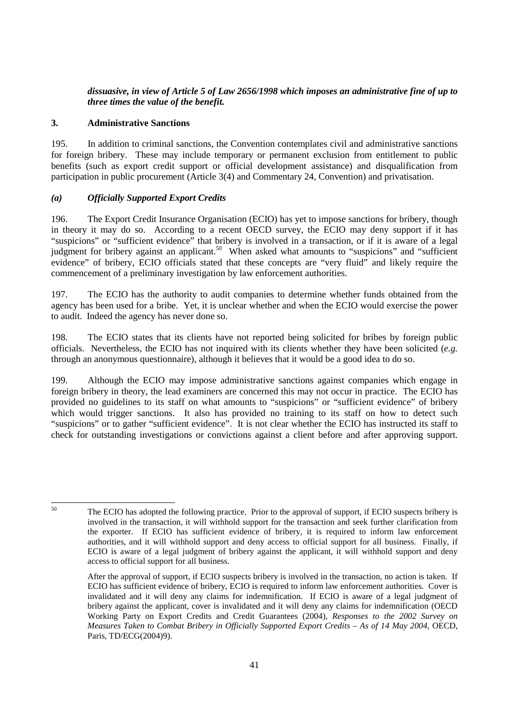## *dissuasive, in view of Article 5 of Law 2656/1998 which imposes an administrative fine of up to three times the value of the benefit.*

## **3. Administrative Sanctions**

195. In addition to criminal sanctions, the Convention contemplates civil and administrative sanctions for foreign bribery. These may include temporary or permanent exclusion from entitlement to public benefits (such as export credit support or official development assistance) and disqualification from participation in public procurement (Article 3(4) and Commentary 24, Convention) and privatisation.

## *(a) Officially Supported Export Credits*

196. The Export Credit Insurance Organisation (ECIO) has yet to impose sanctions for bribery, though in theory it may do so. According to a recent OECD survey, the ECIO may deny support if it has "suspicions" or "sufficient evidence" that bribery is involved in a transaction, or if it is aware of a legal judgment for bribery against an applicant.<sup>50</sup> When asked what amounts to "suspicions" and "sufficient" evidence" of bribery, ECIO officials stated that these concepts are "very fluid" and likely require the commencement of a preliminary investigation by law enforcement authorities.

197. The ECIO has the authority to audit companies to determine whether funds obtained from the agency has been used for a bribe. Yet, it is unclear whether and when the ECIO would exercise the power to audit. Indeed the agency has never done so.

198. The ECIO states that its clients have not reported being solicited for bribes by foreign public officials. Nevertheless, the ECIO has not inquired with its clients whether they have been solicited (*e.g.* through an anonymous questionnaire), although it believes that it would be a good idea to do so.

199. Although the ECIO may impose administrative sanctions against companies which engage in foreign bribery in theory, the lead examiners are concerned this may not occur in practice. The ECIO has provided no guidelines to its staff on what amounts to "suspicions" or "sufficient evidence" of bribery which would trigger sanctions. It also has provided no training to its staff on how to detect such "suspicions" or to gather "sufficient evidence". It is not clear whether the ECIO has instructed its staff to check for outstanding investigations or convictions against a client before and after approving support.

 $50$ 

The ECIO has adopted the following practice. Prior to the approval of support, if ECIO suspects bribery is involved in the transaction, it will withhold support for the transaction and seek further clarification from the exporter. If ECIO has sufficient evidence of bribery, it is required to inform law enforcement authorities, and it will withhold support and deny access to official support for all business. Finally, if ECIO is aware of a legal judgment of bribery against the applicant, it will withhold support and deny access to official support for all business.

After the approval of support, if ECIO suspects bribery is involved in the transaction, no action is taken. If ECIO has sufficient evidence of bribery, ECIO is required to inform law enforcement authorities. Cover is invalidated and it will deny any claims for indemnification. If ECIO is aware of a legal judgment of bribery against the applicant, cover is invalidated and it will deny any claims for indemnification (OECD Working Party on Export Credits and Credit Guarantees (2004), *Responses to the 2002 Survey on Measures Taken to Combat Bribery in Officially Supported Export Credits – As of 14 May 2004*, OECD, Paris, TD/ECG(2004)9).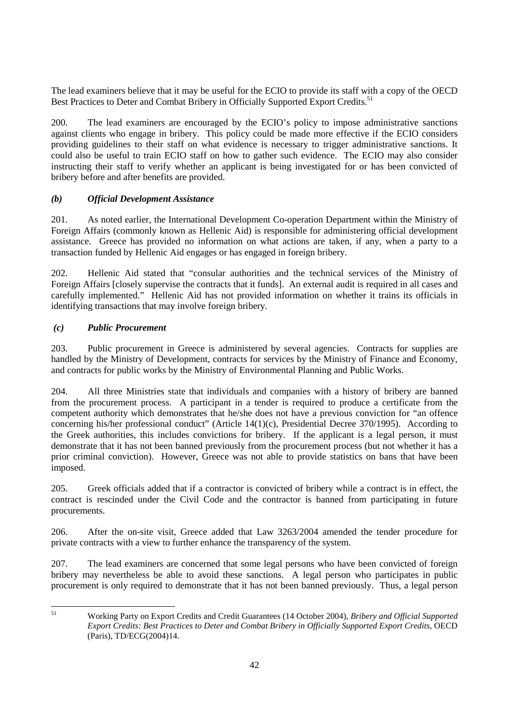The lead examiners believe that it may be useful for the ECIO to provide its staff with a copy of the OECD Best Practices to Deter and Combat Bribery in Officially Supported Export Credits.<sup>51</sup>

200. The lead examiners are encouraged by the ECIO's policy to impose administrative sanctions against clients who engage in bribery. This policy could be made more effective if the ECIO considers providing guidelines to their staff on what evidence is necessary to trigger administrative sanctions. It could also be useful to train ECIO staff on how to gather such evidence. The ECIO may also consider instructing their staff to verify whether an applicant is being investigated for or has been convicted of bribery before and after benefits are provided.

# *(b) Official Development Assistance*

201. As noted earlier, the International Development Co-operation Department within the Ministry of Foreign Affairs (commonly known as Hellenic Aid) is responsible for administering official development assistance. Greece has provided no information on what actions are taken, if any, when a party to a transaction funded by Hellenic Aid engages or has engaged in foreign bribery.

202. Hellenic Aid stated that "consular authorities and the technical services of the Ministry of Foreign Affairs [closely supervise the contracts that it funds]. An external audit is required in all cases and carefully implemented." Hellenic Aid has not provided information on whether it trains its officials in identifying transactions that may involve foreign bribery.

## *(c) Public Procurement*

203. Public procurement in Greece is administered by several agencies. Contracts for supplies are handled by the Ministry of Development, contracts for services by the Ministry of Finance and Economy, and contracts for public works by the Ministry of Environmental Planning and Public Works.

204. All three Ministries state that individuals and companies with a history of bribery are banned from the procurement process. A participant in a tender is required to produce a certificate from the competent authority which demonstrates that he/she does not have a previous conviction for "an offence concerning his/her professional conduct" (Article 14(1)(c), Presidential Decree 370/1995). According to the Greek authorities, this includes convictions for bribery. If the applicant is a legal person, it must demonstrate that it has not been banned previously from the procurement process (but not whether it has a prior criminal conviction). However, Greece was not able to provide statistics on bans that have been imposed.

205. Greek officials added that if a contractor is convicted of bribery while a contract is in effect, the contract is rescinded under the Civil Code and the contractor is banned from participating in future procurements.

206. After the on-site visit, Greece added that Law 3263/2004 amended the tender procedure for private contracts with a view to further enhance the transparency of the system.

207. The lead examiners are concerned that some legal persons who have been convicted of foreign bribery may nevertheless be able to avoid these sanctions. A legal person who participates in public procurement is only required to demonstrate that it has not been banned previously. Thus, a legal person

51

<sup>51</sup> Working Party on Export Credits and Credit Guarantees (14 October 2004), *Bribery and Official Supported Export Credits: Best Practices to Deter and Combat Bribery in Officially Supported Export Credits*, OECD (Paris), TD/ECG(2004)14.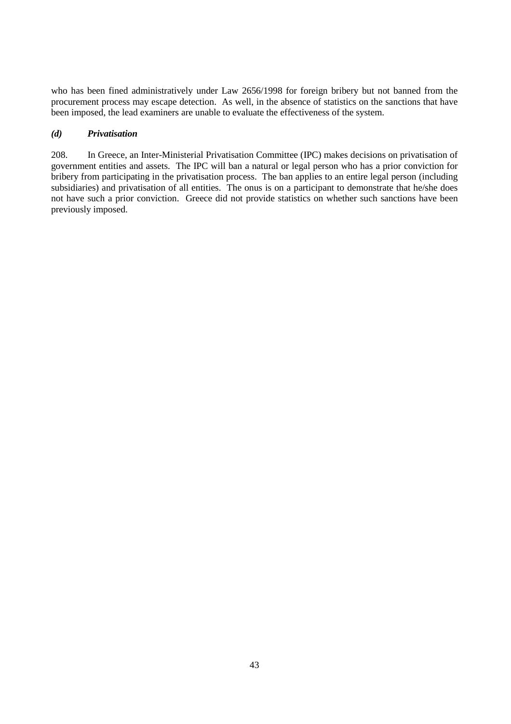who has been fined administratively under Law 2656/1998 for foreign bribery but not banned from the procurement process may escape detection. As well, in the absence of statistics on the sanctions that have been imposed, the lead examiners are unable to evaluate the effectiveness of the system.

#### *(d) Privatisation*

208. In Greece, an Inter-Ministerial Privatisation Committee (IPC) makes decisions on privatisation of government entities and assets. The IPC will ban a natural or legal person who has a prior conviction for bribery from participating in the privatisation process. The ban applies to an entire legal person (including subsidiaries) and privatisation of all entities. The onus is on a participant to demonstrate that he/she does not have such a prior conviction. Greece did not provide statistics on whether such sanctions have been previously imposed.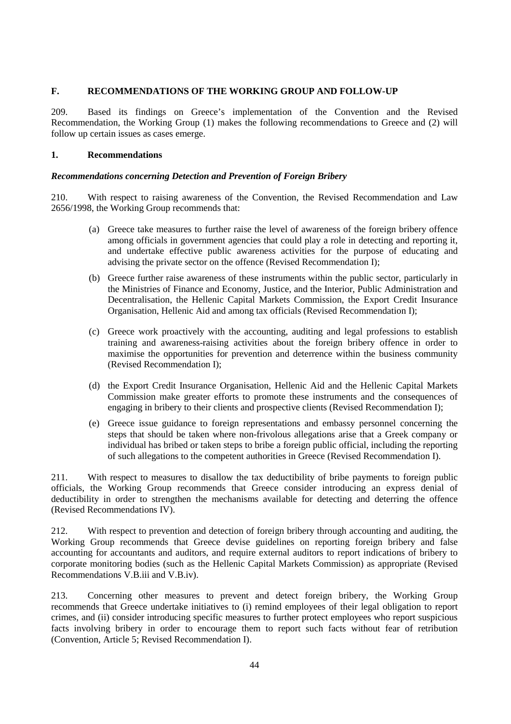## **F. RECOMMENDATIONS OF THE WORKING GROUP AND FOLLOW-UP**

209. Based its findings on Greece's implementation of the Convention and the Revised Recommendation, the Working Group (1) makes the following recommendations to Greece and (2) will follow up certain issues as cases emerge.

## **1. Recommendations**

## *Recommendations concerning Detection and Prevention of Foreign Bribery*

210. With respect to raising awareness of the Convention, the Revised Recommendation and Law 2656/1998, the Working Group recommends that:

- (a) Greece take measures to further raise the level of awareness of the foreign bribery offence among officials in government agencies that could play a role in detecting and reporting it, and undertake effective public awareness activities for the purpose of educating and advising the private sector on the offence (Revised Recommendation I);
- (b) Greece further raise awareness of these instruments within the public sector, particularly in the Ministries of Finance and Economy, Justice, and the Interior, Public Administration and Decentralisation, the Hellenic Capital Markets Commission, the Export Credit Insurance Organisation, Hellenic Aid and among tax officials (Revised Recommendation I);
- (c) Greece work proactively with the accounting, auditing and legal professions to establish training and awareness-raising activities about the foreign bribery offence in order to maximise the opportunities for prevention and deterrence within the business community (Revised Recommendation I);
- (d) the Export Credit Insurance Organisation, Hellenic Aid and the Hellenic Capital Markets Commission make greater efforts to promote these instruments and the consequences of engaging in bribery to their clients and prospective clients (Revised Recommendation I);
- (e) Greece issue guidance to foreign representations and embassy personnel concerning the steps that should be taken where non-frivolous allegations arise that a Greek company or individual has bribed or taken steps to bribe a foreign public official, including the reporting of such allegations to the competent authorities in Greece (Revised Recommendation I).

211. With respect to measures to disallow the tax deductibility of bribe payments to foreign public officials, the Working Group recommends that Greece consider introducing an express denial of deductibility in order to strengthen the mechanisms available for detecting and deterring the offence (Revised Recommendations IV).

212. With respect to prevention and detection of foreign bribery through accounting and auditing, the Working Group recommends that Greece devise guidelines on reporting foreign bribery and false accounting for accountants and auditors, and require external auditors to report indications of bribery to corporate monitoring bodies (such as the Hellenic Capital Markets Commission) as appropriate (Revised Recommendations V.B.iii and V.B.iv).

213. Concerning other measures to prevent and detect foreign bribery, the Working Group recommends that Greece undertake initiatives to (i) remind employees of their legal obligation to report crimes, and (ii) consider introducing specific measures to further protect employees who report suspicious facts involving bribery in order to encourage them to report such facts without fear of retribution (Convention, Article 5; Revised Recommendation I).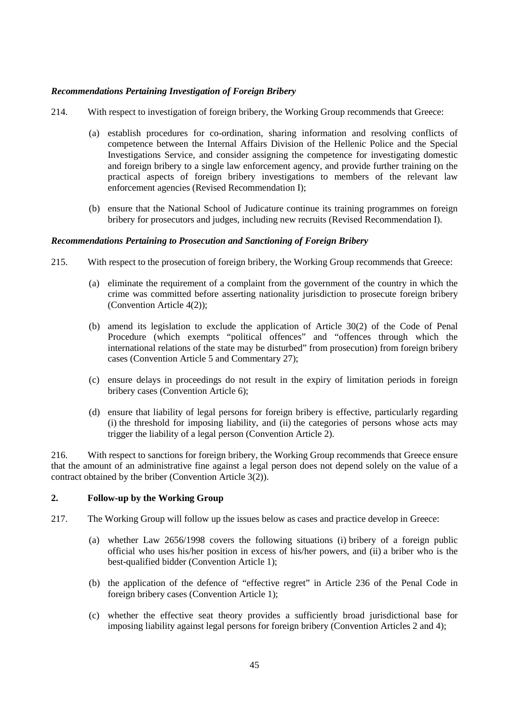## *Recommendations Pertaining Investigation of Foreign Bribery*

- 214. With respect to investigation of foreign bribery, the Working Group recommends that Greece:
	- (a) establish procedures for co-ordination, sharing information and resolving conflicts of competence between the Internal Affairs Division of the Hellenic Police and the Special Investigations Service, and consider assigning the competence for investigating domestic and foreign bribery to a single law enforcement agency, and provide further training on the practical aspects of foreign bribery investigations to members of the relevant law enforcement agencies (Revised Recommendation I);
	- (b) ensure that the National School of Judicature continue its training programmes on foreign bribery for prosecutors and judges, including new recruits (Revised Recommendation I).

#### *Recommendations Pertaining to Prosecution and Sanctioning of Foreign Bribery*

- 215. With respect to the prosecution of foreign bribery, the Working Group recommends that Greece:
	- (a) eliminate the requirement of a complaint from the government of the country in which the crime was committed before asserting nationality jurisdiction to prosecute foreign bribery (Convention Article 4(2));
	- (b) amend its legislation to exclude the application of Article 30(2) of the Code of Penal Procedure (which exempts "political offences" and "offences through which the international relations of the state may be disturbed" from prosecution) from foreign bribery cases (Convention Article 5 and Commentary 27);
	- (c) ensure delays in proceedings do not result in the expiry of limitation periods in foreign bribery cases (Convention Article 6);
	- (d) ensure that liability of legal persons for foreign bribery is effective, particularly regarding (i) the threshold for imposing liability, and (ii) the categories of persons whose acts may trigger the liability of a legal person (Convention Article 2).

216. With respect to sanctions for foreign bribery, the Working Group recommends that Greece ensure that the amount of an administrative fine against a legal person does not depend solely on the value of a contract obtained by the briber (Convention Article 3(2)).

#### **2. Follow-up by the Working Group**

- 217. The Working Group will follow up the issues below as cases and practice develop in Greece:
	- (a) whether Law 2656/1998 covers the following situations (i) bribery of a foreign public official who uses his/her position in excess of his/her powers, and (ii) a briber who is the best-qualified bidder (Convention Article 1);
	- (b) the application of the defence of "effective regret" in Article 236 of the Penal Code in foreign bribery cases (Convention Article 1);
	- (c) whether the effective seat theory provides a sufficiently broad jurisdictional base for imposing liability against legal persons for foreign bribery (Convention Articles 2 and 4);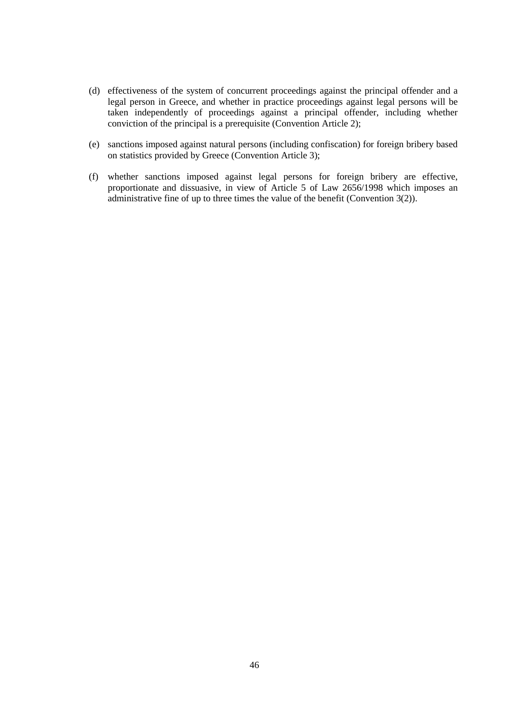- (d) effectiveness of the system of concurrent proceedings against the principal offender and a legal person in Greece, and whether in practice proceedings against legal persons will be taken independently of proceedings against a principal offender, including whether conviction of the principal is a prerequisite (Convention Article 2);
- (e) sanctions imposed against natural persons (including confiscation) for foreign bribery based on statistics provided by Greece (Convention Article 3);
- (f) whether sanctions imposed against legal persons for foreign bribery are effective, proportionate and dissuasive, in view of Article 5 of Law 2656/1998 which imposes an administrative fine of up to three times the value of the benefit (Convention 3(2)).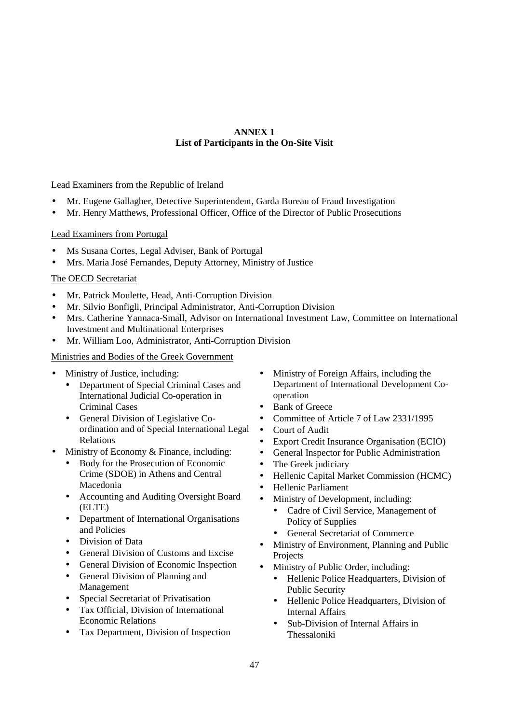# **ANNEX 1 List of Participants in the On-Site Visit**

## Lead Examiners from the Republic of Ireland

- Mr. Eugene Gallagher, Detective Superintendent, Garda Bureau of Fraud Investigation
- Mr. Henry Matthews, Professional Officer, Office of the Director of Public Prosecutions

## Lead Examiners from Portugal

- Ms Susana Cortes, Legal Adviser, Bank of Portugal
- Mrs. Maria José Fernandes, Deputy Attorney, Ministry of Justice

## The OECD Secretariat

- Mr. Patrick Moulette, Head, Anti-Corruption Division
- Mr. Silvio Bonfigli, Principal Administrator, Anti-Corruption Division
- Mrs. Catherine Yannaca-Small, Advisor on International Investment Law, Committee on International Investment and Multinational Enterprises
- Mr. William Loo, Administrator, Anti-Corruption Division

## Ministries and Bodies of the Greek Government

- Ministry of Justice, including:
	- Department of Special Criminal Cases and International Judicial Co-operation in Criminal Cases
	- General Division of Legislative Coordination and of Special International Legal Relations
- Ministry of Economy & Finance, including:
	- Body for the Prosecution of Economic Crime (SDOE) in Athens and Central Macedonia
	- Accounting and Auditing Oversight Board (ELTE)
	- Department of International Organisations and Policies
	- Division of Data
	- General Division of Customs and Excise
	- General Division of Economic Inspection
	- General Division of Planning and Management
	- Special Secretariat of Privatisation
	- Tax Official, Division of International Economic Relations
	- Tax Department, Division of Inspection
- Ministry of Foreign Affairs, including the Department of International Development Cooperation
- Bank of Greece
- Committee of Article 7 of Law 2331/1995
- Court of Audit
- Export Credit Insurance Organisation (ECIO)
- General Inspector for Public Administration
- The Greek judiciary
- Hellenic Capital Market Commission (HCMC)
- Hellenic Parliament
- Ministry of Development, including:
	- Cadre of Civil Service, Management of Policy of Supplies
	- General Secretariat of Commerce
- Ministry of Environment, Planning and Public Projects
- Ministry of Public Order, including:
	- Hellenic Police Headquarters, Division of Public Security
	- Hellenic Police Headquarters, Division of Internal Affairs
	- Sub-Division of Internal Affairs in Thessaloniki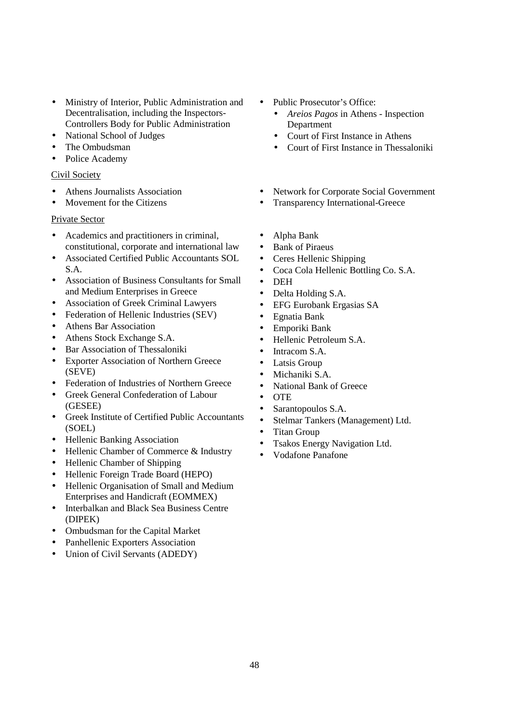- Ministry of Interior, Public Administration and Decentralisation, including the Inspectors-Controllers Body for Public Administration
- National School of Judges
- The Ombudsman
- Police Academy

# Civil Society

- Athens Journalists Association
- Movement for the Citizens

# Private Sector

- Academics and practitioners in criminal, constitutional, corporate and international law
- Associated Certified Public Accountants SOL S.A.
- Association of Business Consultants for Small and Medium Enterprises in Greece
- Association of Greek Criminal Lawyers
- Federation of Hellenic Industries (SEV)
- Athens Bar Association
- Athens Stock Exchange S.A.
- Bar Association of Thessaloniki
- Exporter Association of Northern Greece (SEVE)
- Federation of Industries of Northern Greece
- Greek General Confederation of Labour (GESEE)
- Greek Institute of Certified Public Accountants (SOEL)
- Hellenic Banking Association
- Hellenic Chamber of Commerce & Industry
- Hellenic Chamber of Shipping
- Hellenic Foreign Trade Board (HEPO)
- Hellenic Organisation of Small and Medium Enterprises and Handicraft (EOMMEX)
- Interbalkan and Black Sea Business Centre (DIPEK)
- Ombudsman for the Capital Market
- Panhellenic Exporters Association
- Union of Civil Servants (ADEDY)
- Public Prosecutor's Office:
	- *Areios Pagos* in Athens Inspection Department
	- Court of First Instance in Athens
	- Court of First Instance in Thessaloniki
- Network for Corporate Social Government
- Transparency International-Greece
- Alpha Bank
- Bank of Piraeus
- Ceres Hellenic Shipping
- Coca Cola Hellenic Bottling Co. S.A.
- DEH
- Delta Holding S.A.
- EFG Eurobank Ergasias SA
- Egnatia Bank
- Emporiki Bank
- Hellenic Petroleum S.A.
- Intracom S.A.
- Latsis Group
- Michaniki S.A.
- National Bank of Greece
- OTE
- Sarantopoulos S.A.
- Stelmar Tankers (Management) Ltd.
- Titan Group
- Tsakos Energy Navigation Ltd.
- Vodafone Panafone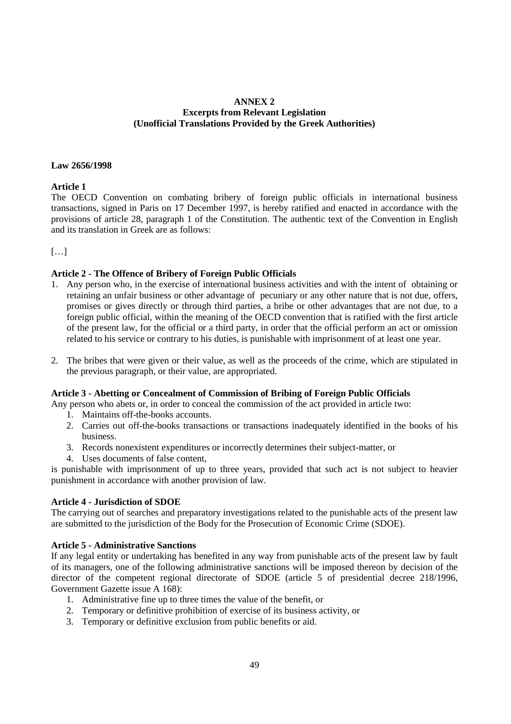#### **ANNEX 2 Excerpts from Relevant Legislation (Unofficial Translations Provided by the Greek Authorities)**

#### **Law 2656/1998**

#### **Article 1**

The OECD Convention on combating bribery of foreign public officials in international business transactions, signed in Paris on 17 December 1997, is hereby ratified and enacted in accordance with the provisions of article 28, paragraph 1 of the Constitution. The authentic text of the Convention in English and its translation in Greek are as follows:

 $[...]$ 

#### **Article 2 - The Offence of Bribery of Foreign Public Officials**

- 1. Any person who, in the exercise of international business activities and with the intent of obtaining or retaining an unfair business or other advantage of pecuniary or any other nature that is not due, offers, promises or gives directly or through third parties, a bribe or other advantages that are not due, to a foreign public official, within the meaning of the OECD convention that is ratified with the first article of the present law, for the official or a third party, in order that the official perform an act or omission related to his service or contrary to his duties, is punishable with imprisonment of at least one year.
- 2. The bribes that were given or their value, as well as the proceeds of the crime, which are stipulated in the previous paragraph, or their value, are appropriated.

#### **Article 3 - Abetting or Concealment of Commission of Bribing of Foreign Public Officials**

- Any person who abets or, in order to conceal the commission of the act provided in article two:
	- 1. Maintains off-the-books accounts.
	- 2. Carries out off-the-books transactions or transactions inadequately identified in the books of his business.
	- 3. Records nonexistent expenditures or incorrectly determines their subject-matter, or
	- 4. Uses documents of false content,

is punishable with imprisonment of up to three years, provided that such act is not subject to heavier punishment in accordance with another provision of law.

#### **Article 4 - Jurisdiction of SDOE**

The carrying out of searches and preparatory investigations related to the punishable acts of the present law are submitted to the jurisdiction of the Body for the Prosecution of Economic Crime (SDOE).

#### **Article 5 - Administrative Sanctions**

If any legal entity or undertaking has benefited in any way from punishable acts of the present law by fault of its managers, one of the following administrative sanctions will be imposed thereon by decision of the director of the competent regional directorate of SDOE (article 5 of presidential decree 218/1996, Government Gazette issue A 168):

- 1. Administrative fine up to three times the value of the benefit, or
- 2. Temporary or definitive prohibition of exercise of its business activity, or
- 3. Temporary or definitive exclusion from public benefits or aid.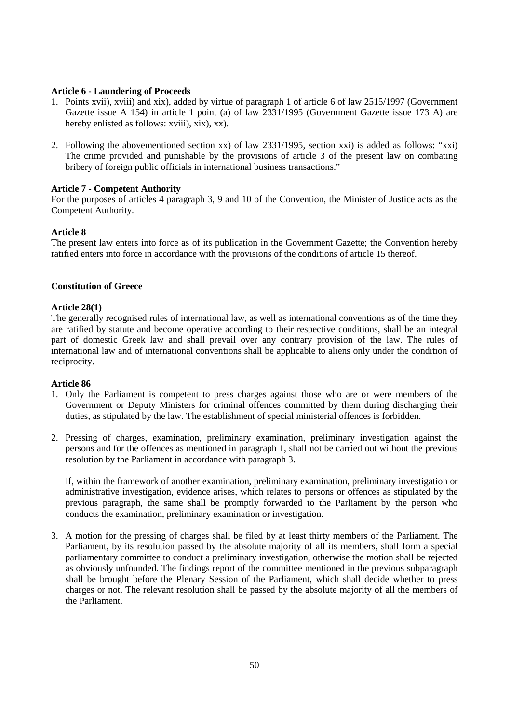#### **Article 6 - Laundering of Proceeds**

- 1. Points xvii), xviii) and xix), added by virtue of paragraph 1 of article 6 of law 2515/1997 (Government Gazette issue A 154) in article 1 point (a) of law 2331/1995 (Government Gazette issue 173 A) are hereby enlisted as follows: xviii), xix), xx).
- 2. Following the abovementioned section xx) of law 2331/1995, section xxi) is added as follows: "xxi) The crime provided and punishable by the provisions of article 3 of the present law on combating bribery of foreign public officials in international business transactions."

#### **Article 7 - Competent Authority**

For the purposes of articles 4 paragraph 3, 9 and 10 of the Convention, the Minister of Justice acts as the Competent Authority.

#### **Article 8**

The present law enters into force as of its publication in the Government Gazette; the Convention hereby ratified enters into force in accordance with the provisions of the conditions of article 15 thereof.

#### **Constitution of Greece**

#### **Article 28(1)**

The generally recognised rules of international law, as well as international conventions as of the time they are ratified by statute and become operative according to their respective conditions, shall be an integral part of domestic Greek law and shall prevail over any contrary provision of the law. The rules of international law and of international conventions shall be applicable to aliens only under the condition of reciprocity.

#### **Article 86**

- 1. Only the Parliament is competent to press charges against those who are or were members of the Government or Deputy Ministers for criminal offences committed by them during discharging their duties, as stipulated by the law. The establishment of special ministerial offences is forbidden.
- 2. Pressing of charges, examination, preliminary examination, preliminary investigation against the persons and for the offences as mentioned in paragraph 1, shall not be carried out without the previous resolution by the Parliament in accordance with paragraph 3.

 If, within the framework of another examination, preliminary examination, preliminary investigation or administrative investigation, evidence arises, which relates to persons or offences as stipulated by the previous paragraph, the same shall be promptly forwarded to the Parliament by the person who conducts the examination, preliminary examination or investigation.

3. A motion for the pressing of charges shall be filed by at least thirty members of the Parliament. The Parliament, by its resolution passed by the absolute majority of all its members, shall form a special parliamentary committee to conduct a preliminary investigation, otherwise the motion shall be rejected as obviously unfounded. The findings report of the committee mentioned in the previous subparagraph shall be brought before the Plenary Session of the Parliament, which shall decide whether to press charges or not. The relevant resolution shall be passed by the absolute majority of all the members of the Parliament.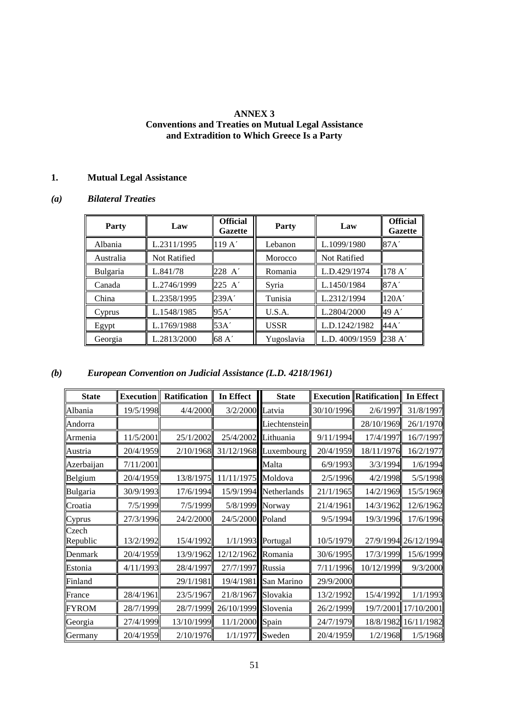## **ANNEX 3 Conventions and Treaties on Mutual Legal Assistance and Extradition to Which Greece Is a Party**

# **1. Mutual Legal Assistance**

# *(a) Bilateral Treaties*

| <b>Party</b>    | Law                 | <b>Official</b><br><b>Gazette</b> | <b>Party</b> | Law                 | <b>Official</b><br><b>Gazette</b> |
|-----------------|---------------------|-----------------------------------|--------------|---------------------|-----------------------------------|
| Albania         | L.2311/1995         | 119A'                             | Lebanon      | L.1099/1980         | 87A'                              |
| Australia       | <b>Not Ratified</b> |                                   | Morocco      | <b>Not Ratified</b> |                                   |
| <b>Bulgaria</b> | L.841/78            | 228 A'                            | Romania      | L.D.429/1974        | 178A'                             |
| Canada          | L.2746/1999         | $225 \; A'$                       | Syria        | L.1450/1984         | 87A'                              |
| China           | L.2358/1995         | 239A'                             | Tunisia      | L.2312/1994         | 120A'                             |
| Cyprus          | L.1548/1985         | 95A'                              | U.S.A.       | L.2804/2000         | 49 A'                             |
| Egypt           | L.1769/1988         | 53A'                              | <b>USSR</b>  | L.D.1242/1982       | 44A'                              |
| Georgia         | L.2813/2000         | $68\,\mathrm{A}^{\prime}$         | Yugoslavia   | L.D. 4009/1959      | 238 A'                            |

# *(b) European Convention on Judicial Assistance (L.D. 4218/1961)*

| <b>State</b>      | <b>Execution</b> | Ratification | In Effect           | <b>State</b>          |            | <b>Execution Ratification In Effect</b> |                      |
|-------------------|------------------|--------------|---------------------|-----------------------|------------|-----------------------------------------|----------------------|
| Albania           | 19/5/1998        | 4/4/2000     | 3/2/2000 Latvia     |                       | 30/10/1996 | 2/6/1997                                | 31/8/1997            |
| Andorra           |                  |              |                     | Liechtenstein         |            | 28/10/1969                              | 26/1/1970            |
| Armenia           | 11/5/2001        | 25/1/2002    |                     | 25/4/2002 Lithuania   | 9/11/1994  | 17/4/1997                               | 16/7/1997            |
| Austria           | 20/4/1959        | 2/10/1968    |                     | 31/12/1968 Luxembourg | 20/4/1959  | 18/11/1976                              | 16/2/1977            |
| Azerbaijan        | 7/11/2001        |              |                     | Malta                 | 6/9/1993   | 3/3/1994                                | 1/6/1994             |
| Belgium           | 20/4/1959        | 13/8/1975    | 11/11/1975 Moldova  |                       | 2/5/1996   | 4/2/1998                                | 5/5/1998             |
| Bulgaria          | 30/9/1993        | 17/6/1994    |                     | 15/9/1994 Netherlands | 21/1/1965  | 14/2/1969                               | 15/5/1969            |
| Croatia           | 7/5/1999         | 7/5/1999     | 5/8/1999 Norway     |                       | 21/4/1961  | 14/3/1962                               | 12/6/1962            |
| Cyprus            | 27/3/1996        | 24/2/2000    | 24/5/2000 Poland    |                       | 9/5/1994   | 19/3/1996                               | 17/6/1996            |
| Czech<br>Republic | 13/2/1992        | 15/4/1992    |                     | 1/1/1993 Portugal     | 10/5/1979  |                                         | 27/9/1994 26/12/1994 |
| Denmark           | 20/4/1959        | 13/9/1962    | 12/12/1962 Romania  |                       | 30/6/1995  | 17/3/1999                               | 15/6/1999            |
| Estonia           | 4/11/1993        | 28/4/1997    | 27/7/1997 Russia    |                       | 7/11/1996  | 10/12/1999                              | 9/3/2000             |
| Finland           |                  | 29/1/1981    |                     | 19/4/1981 San Marino  | 29/9/2000  |                                         |                      |
| France            | 28/4/1961        | 23/5/1967    | 21/8/1967 Slovakia  |                       | 13/2/1992  | 15/4/1992                               | 1/1/1993             |
| <b>FYROM</b>      | 28/7/1999        | 28/7/1999    | 26/10/1999 Slovenia |                       | 26/2/1999  |                                         | 19/7/2001 17/10/2001 |
| Georgia           | 27/4/1999        | 13/10/1999   | 11/1/2000 Spain     |                       | 24/7/1979  |                                         | 18/8/1982 16/11/1982 |
| Germany           | 20/4/1959        | 2/10/1976    |                     | 1/1/1977 Sweden       | 20/4/1959  | 1/2/1968                                | 1/5/1968             |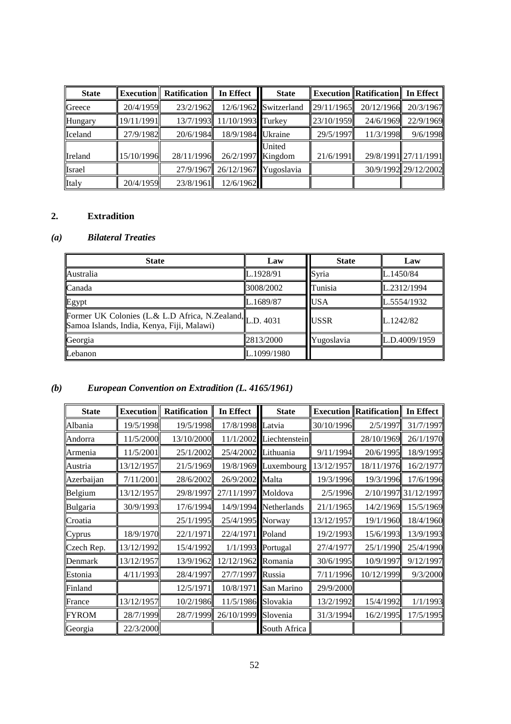| <b>State</b>  |            | <b>Execution</b> Ratification | In Effect                       | <b>State</b>          |            | <b>Execution Ratification II In Effect</b> |                      |
|---------------|------------|-------------------------------|---------------------------------|-----------------------|------------|--------------------------------------------|----------------------|
| Greece        | 20/4/1959  | 23/2/1962                     |                                 | 12/6/1962 Switzerland | 29/11/1965 | 20/12/1966                                 | 20/3/1967            |
| Hungary       | 19/11/1991 |                               | 13/7/1993 11/10/1993 Turkey     |                       | 23/10/1959 |                                            | 24/6/1969 22/9/1969  |
| Iceland       | 27/9/1982  | 20/6/1984                     | 18/9/1984 Ukraine               |                       | 29/5/1997  | 11/3/1998                                  | 9/6/1998             |
| Ireland       | 15/10/1996 | 28/11/1996                    | 26/2/1997 Kingdom               | United                | 21/6/1991  |                                            | 29/8/1991 27/11/1991 |
| <b>Israel</b> |            |                               | 27/9/1967 26/12/1967 Yugoslavia |                       |            |                                            | 30/9/1992 29/12/2002 |
| Italy         | 20/4/1959  | 23/8/1961                     | 12/6/1962                       |                       |            |                                            |                      |

# **2. Extradition**

# *(a) Bilateral Treaties*

| <b>State</b>                                                                                           | Law         | <b>State</b> | Law           |
|--------------------------------------------------------------------------------------------------------|-------------|--------------|---------------|
| <b>Australia</b>                                                                                       | L.1928/91   | Syria        | L.1450/84     |
| Canada                                                                                                 | 3008/2002   | Tunisia      | L.2312/1994   |
| Egypt                                                                                                  | L.1689/87   | <b>USA</b>   | L.5554/1932   |
| Former UK Colonies (L.& L.D Africa, N.Zealand, L.D. 4031<br>Samoa Islands, India, Kenya, Fiji, Malawi) |             | <b>USSR</b>  | L.1242/82     |
| Georgia                                                                                                | 2813/2000   | Yugoslavia   | L.D.4009/1959 |
| Lebanon                                                                                                | L.1099/1980 |              |               |

# *(b) European Convention on Extradition (L. 4165/1961)*

| <b>State</b> | <b>Execution</b> | Ratification | In Effect           | <b>State</b>              |            | <b>Execution Ratification</b> | In Effect            |
|--------------|------------------|--------------|---------------------|---------------------------|------------|-------------------------------|----------------------|
| Albania      | 19/5/1998        | 19/5/1998    | 17/8/1998           | Latvia                    | 30/10/1996 | 2/5/1997                      | 31/7/1997            |
| Andorra      | 11/5/2000        | 13/10/2000   |                     | $11/1/2002$ Liechtenstein |            | 28/10/1969                    | 26/1/1970            |
| Armenia      | 11/5/2001        | 25/1/2002    | 25/4/2002           | Lithuania                 | 9/11/1994  | 20/6/1995                     | 18/9/1995            |
| Austria      | 13/12/1957       | 21/5/1969    |                     | 19/8/1969 Luxembourg      | 13/12/1957 | 18/11/1976                    | 16/2/1977            |
| Azerbaijan   | 7/11/2001        | 28/6/2002    | 26/9/2002 Malta     |                           | 19/3/1996  | 19/3/1996                     | 17/6/1996            |
| Belgium      | 13/12/1957       | 29/8/1997    | 27/11/1997 Moldova  |                           | 2/5/1996   |                               | 2/10/1997 31/12/1997 |
| Bulgaria     | 30/9/1993        | 17/6/1994    |                     | 14/9/1994 Netherlands     | 21/1/1965  | 14/2/1969                     | 15/5/1969            |
| Croatia      |                  | 25/1/1995    | 25/4/1995 Norway    |                           | 13/12/1957 | 19/1/1960                     | 18/4/1960            |
| Cyprus       | 18/9/1970        | 22/1/1971    | 22/4/1971           | Poland                    | 19/2/1993  | 15/6/1993                     | 13/9/1993            |
| Czech Rep.   | 13/12/1992       | 15/4/1992    |                     | 1/1/1993 Portugal         | 27/4/1977  | 25/1/1990                     | 25/4/1990            |
| Denmark      | 13/12/1957       | 13/9/1962    | 12/12/1962          | Romania                   | 30/6/1995  | 10/9/1997                     | 9/12/1997            |
| Estonia      | 4/11/1993        | 28/4/1997    | 27/7/1997           | Russia                    | 7/11/1996  | 10/12/1999                    | 9/3/2000             |
| Finland      |                  | 12/5/1971    |                     | 10/8/1971 San Marino      | 29/9/2000  |                               |                      |
| France       | 13/12/1957       | 10/2/1986    | 11/5/1986 Slovakia  |                           | 13/2/1992  | 15/4/1992                     | 1/1/1993             |
| <b>FYROM</b> | 28/7/1999        | 28/7/1999    | 26/10/1999 Slovenia |                           | 31/3/1994  | 16/2/1995                     | 17/5/1995            |
| Georgia      | 22/3/2000        |              |                     | South Africa              |            |                               |                      |